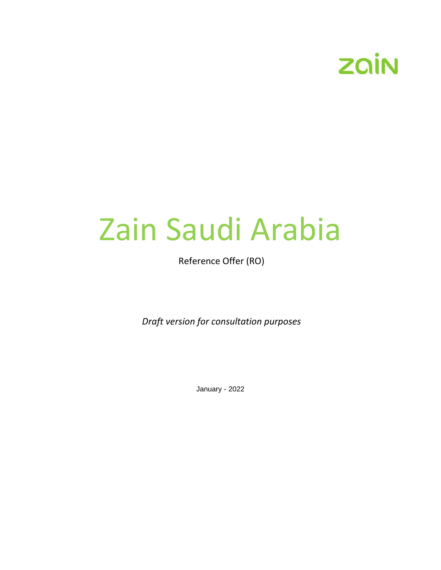

# Zain Saudi Arabia

Reference Offer (RO)

*Draft version for consultation purposes*

January - 2022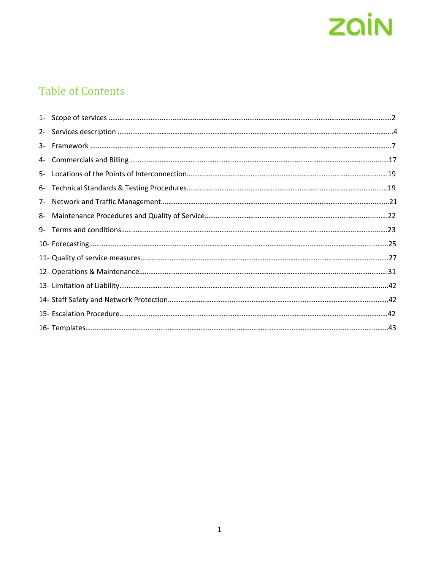

## Table of Contents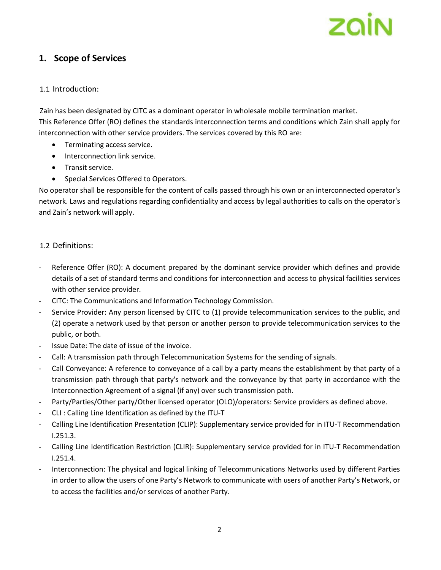## **1. Scope of Services**

#### 1.1 Introduction:

Zain has been designated by CITC as a dominant operator in wholesale mobile termination market. This Reference Offer (RO) defines the standards interconnection terms and conditions which Zain shall apply for interconnection with other service providers. The services covered by this RO are:

- Terminating access service.
- Interconnection link service.
- Transit service.
- Special Services Offered to Operators.

No operator shall be responsible for the content of calls passed through his own or an interconnected operator's network. Laws and regulations regarding confidentiality and access by legal authorities to calls on the operator's and Zain's network will apply.

#### 1.2 Definitions:

- Reference Offer (RO): A document prepared by the dominant service provider which defines and provide details of a set of standard terms and conditions for interconnection and access to physical facilities services with other service provider.
- CITC: The Communications and Information Technology Commission.
- Service Provider: Any person licensed by CITC to (1) provide telecommunication services to the public, and (2) operate a network used by that person or another person to provide telecommunication services to the public, or both.
- Issue Date: The date of issue of the invoice.
- Call: A transmission path through Telecommunication Systems for the sending of signals.
- Call Conveyance: A reference to conveyance of a call by a party means the establishment by that party of a transmission path through that party's network and the conveyance by that party in accordance with the Interconnection Agreement of a signal (if any) over such transmission path.
- Party/Parties/Other party/Other licensed operator (OLO)/operators: Service providers as defined above.
- CLI : Calling Line Identification as defined by the ITU-T
- Calling Line Identification Presentation (CLIP): Supplementary service provided for in ITU-T Recommendation I.251.3.
- Calling Line Identification Restriction (CLIR): Supplementary service provided for in ITU-T Recommendation I.251.4.
- Interconnection: The physical and logical linking of Telecommunications Networks used by different Parties in order to allow the users of one Party's Network to communicate with users of another Party's Network, or to access the facilities and/or services of another Party.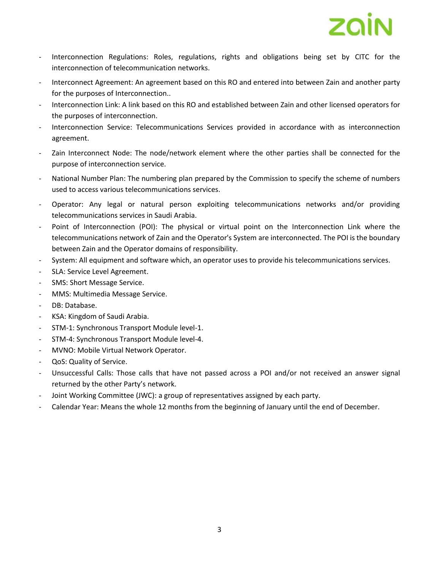

- Interconnection Regulations: Roles, regulations, rights and obligations being set by CITC for the interconnection of telecommunication networks.
- Interconnect Agreement: An agreement based on this RO and entered into between Zain and another party for the purposes of Interconnection..
- Interconnection Link: A link based on this RO and established between Zain and other licensed operators for the purposes of interconnection.
- Interconnection Service: Telecommunications Services provided in accordance with as interconnection agreement.
- Zain Interconnect Node: The node/network element where the other parties shall be connected for the purpose of interconnection service.
- National Number Plan: The numbering plan prepared by the Commission to specify the scheme of numbers used to access various telecommunications services.
- Operator: Any legal or natural person exploiting telecommunications networks and/or providing telecommunications services in Saudi Arabia.
- Point of Interconnection (POI): The physical or virtual point on the Interconnection Link where the telecommunications network of Zain and the Operator's System are interconnected. The POI is the boundary between Zain and the Operator domains of responsibility.
- System: All equipment and software which, an operator uses to provide his telecommunications services.
- SLA: Service Level Agreement.
- SMS: Short Message Service.
- MMS: Multimedia Message Service.
- DB: Database.
- KSA: Kingdom of Saudi Arabia.
- STM-1: Synchronous Transport Module level-1.
- STM-4: Synchronous Transport Module level-4.
- MVNO: Mobile Virtual Network Operator.
- QoS: Quality of Service.
- Unsuccessful Calls: Those calls that have not passed across a POI and/or not received an answer signal returned by the other Party's network.
- Joint Working Committee (JWC): a group of representatives assigned by each party.
- Calendar Year: Means the whole 12 months from the beginning of January until the end of December.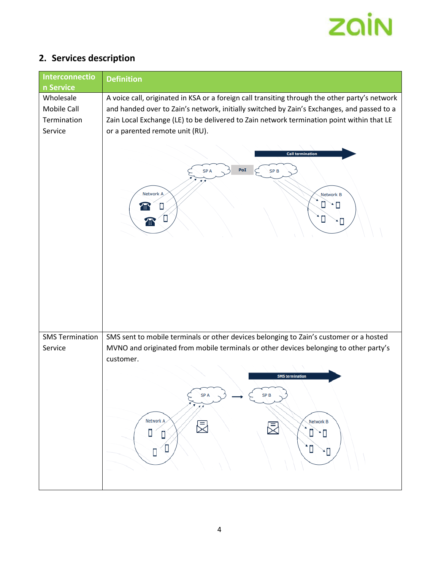

## **2. Services description**

| Interconnectio<br>n Service                        | <b>Definition</b>                                                                                                                                                                                                                                                                                                                                                                                                                                            |
|----------------------------------------------------|--------------------------------------------------------------------------------------------------------------------------------------------------------------------------------------------------------------------------------------------------------------------------------------------------------------------------------------------------------------------------------------------------------------------------------------------------------------|
| Wholesale<br>Mobile Call<br>Termination<br>Service | A voice call, originated in KSA or a foreign call transiting through the other party's network<br>and handed over to Zain's network, initially switched by Zain's Exchanges, and passed to a<br>Zain Local Exchange (LE) to be delivered to Zain network termination point within that LE<br>or a parented remote unit (RU).<br><b>Call termination</b><br>PoI<br>SP <sub>A</sub><br>SP <sub>B</sub><br>Network A<br><b>Network B</b><br>N<br>m<br>Π<br>∕ ⊞` |
| <b>SMS Termination</b><br>Service                  | SMS sent to mobile terminals or other devices belonging to Zain's customer or a hosted<br>MVNO and originated from mobile terminals or other devices belonging to other party's<br>customer.<br><b>SMS</b> termination<br><b>SPA</b><br>SP <sub>B</sub><br>发光<br>Network A<br>Network B<br>旻<br>Ĕ                                                                                                                                                            |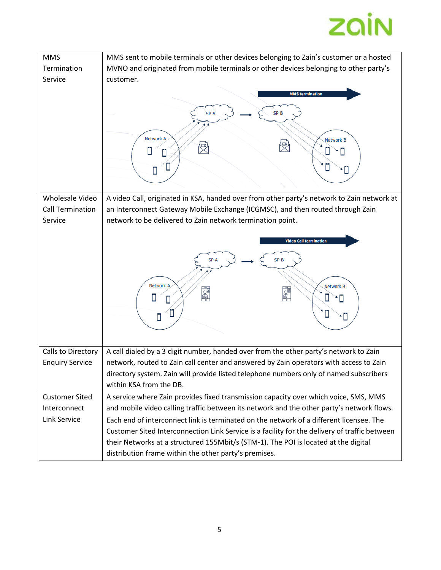

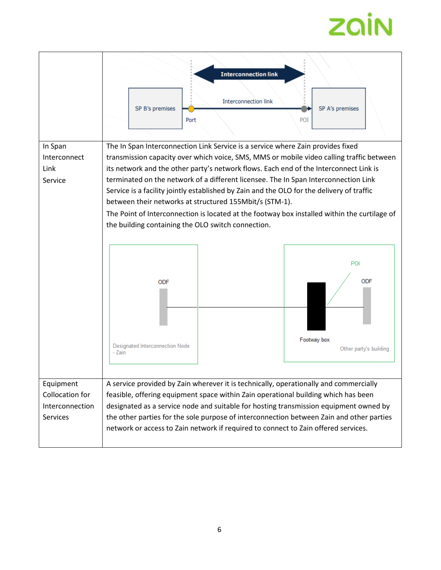# zain

|                                                             | <b>Interconnection link</b><br><b>Interconnection link</b><br>SP B's premises<br>SP A's premises<br>Port<br>POI                                                                                                                                                                                                                                                                                                                                                                                                                                                                                                                                                           |  |  |
|-------------------------------------------------------------|---------------------------------------------------------------------------------------------------------------------------------------------------------------------------------------------------------------------------------------------------------------------------------------------------------------------------------------------------------------------------------------------------------------------------------------------------------------------------------------------------------------------------------------------------------------------------------------------------------------------------------------------------------------------------|--|--|
| In Span<br>Interconnect<br>Link<br>Service                  | The In Span Interconnection Link Service is a service where Zain provides fixed<br>transmission capacity over which voice, SMS, MMS or mobile video calling traffic between<br>its network and the other party's network flows. Each end of the Interconnect Link is<br>terminated on the network of a different licensee. The In Span Interconnection Link<br>Service is a facility jointly established by Zain and the OLO for the delivery of traffic<br>between their networks at structured 155Mbit/s (STM-1).<br>The Point of Interconnection is located at the footway box installed within the curtilage of<br>the building containing the OLO switch connection. |  |  |
|                                                             | POI<br><b>ODF</b><br><b>ODF</b><br>Footway box<br>Designated Interconnection Node<br>Other party's building<br>- Zain                                                                                                                                                                                                                                                                                                                                                                                                                                                                                                                                                     |  |  |
| Equipment<br>Collocation for<br>Interconnection<br>Services | A service provided by Zain wherever it is technically, operationally and commercially<br>feasible, offering equipment space within Zain operational building which has been<br>designated as a service node and suitable for hosting transmission equipment owned by<br>the other parties for the sole purpose of interconnection between Zain and other parties<br>network or access to Zain network if required to connect to Zain offered services.                                                                                                                                                                                                                    |  |  |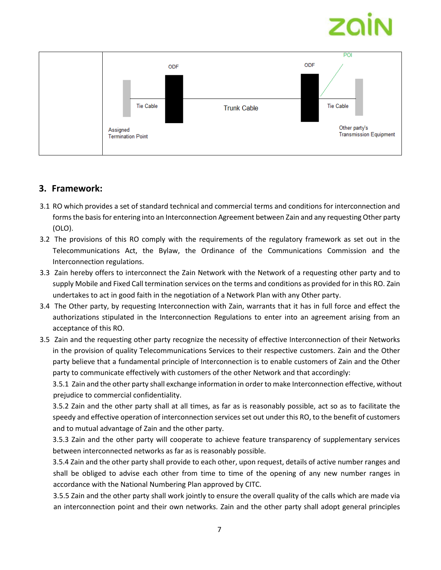

## **3. Framework:**

- 3.1 RO which provides a set of standard technical and commercial terms and conditions for interconnection and forms the basis for entering into an Interconnection Agreement between Zain and any requesting Other party (OLO).
- 3.2 The provisions of this RO comply with the requirements of the regulatory framework as set out in the Telecommunications Act, the Bylaw, the Ordinance of the Communications Commission and the Interconnection regulations.
- 3.3 Zain hereby offers to interconnect the Zain Network with the Network of a requesting other party and to supply Mobile and Fixed Call termination services on the terms and conditions as provided for in this RO. Zain undertakes to act in good faith in the negotiation of a Network Plan with any Other party.
- 3.4 The Other party, by requesting Interconnection with Zain, warrants that it has in full force and effect the authorizations stipulated in the Interconnection Regulations to enter into an agreement arising from an acceptance of this RO.
- 3.5 Zain and the requesting other party recognize the necessity of effective Interconnection of their Networks in the provision of quality Telecommunications Services to their respective customers. Zain and the Other party believe that a fundamental principle of Interconnection is to enable customers of Zain and the Other party to communicate effectively with customers of the other Network and that accordingly:

3.5.1 Zain and the other party shall exchange information in order to make Interconnection effective, without prejudice to commercial confidentiality.

3.5.2 Zain and the other party shall at all times, as far as is reasonably possible, act so as to facilitate the speedy and effective operation of interconnection services set out under this RO, to the benefit of customers and to mutual advantage of Zain and the other party.

3.5.3 Zain and the other party will cooperate to achieve feature transparency of supplementary services between interconnected networks as far as is reasonably possible.

3.5.4 Zain and the other party shall provide to each other, upon request, details of active number ranges and shall be obliged to advise each other from time to time of the opening of any new number ranges in accordance with the National Numbering Plan approved by CITC.

3.5.5 Zain and the other party shall work jointly to ensure the overall quality of the calls which are made via an interconnection point and their own networks. Zain and the other party shall adopt general principles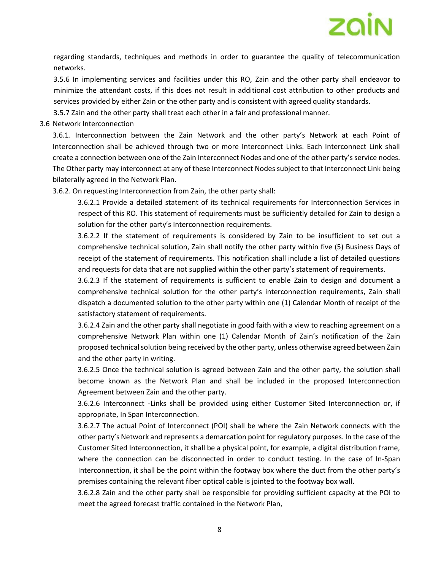

regarding standards, techniques and methods in order to guarantee the quality of telecommunication networks.

3.5.6 In implementing services and facilities under this RO, Zain and the other party shall endeavor to minimize the attendant costs, if this does not result in additional cost attribution to other products and services provided by either Zain or the other party and is consistent with agreed quality standards.

3.5.7 Zain and the other party shall treat each other in a fair and professional manner.

#### 3.6 Network Interconnection

3.6.1. Interconnection between the Zain Network and the other party's Network at each Point of Interconnection shall be achieved through two or more Interconnect Links. Each Interconnect Link shall create a connection between one of the Zain Interconnect Nodes and one of the other party's service nodes. The Other party may interconnect at any of these Interconnect Nodes subject to that Interconnect Link being bilaterally agreed in the Network Plan.

3.6.2. On requesting Interconnection from Zain, the other party shall:

3.6.2.1 Provide a detailed statement of its technical requirements for Interconnection Services in respect of this RO. This statement of requirements must be sufficiently detailed for Zain to design a solution for the other party's Interconnection requirements.

3.6.2.2 If the statement of requirements is considered by Zain to be insufficient to set out a comprehensive technical solution, Zain shall notify the other party within five (5) Business Days of receipt of the statement of requirements. This notification shall include a list of detailed questions and requests for data that are not supplied within the other party's statement of requirements.

3.6.2.3 If the statement of requirements is sufficient to enable Zain to design and document a comprehensive technical solution for the other party's interconnection requirements, Zain shall dispatch a documented solution to the other party within one (1) Calendar Month of receipt of the satisfactory statement of requirements.

3.6.2.4 Zain and the other party shall negotiate in good faith with a view to reaching agreement on a comprehensive Network Plan within one (1) Calendar Month of Zain's notification of the Zain proposed technical solution being received by the other party, unless otherwise agreed between Zain and the other party in writing.

3.6.2.5 Once the technical solution is agreed between Zain and the other party, the solution shall become known as the Network Plan and shall be included in the proposed Interconnection Agreement between Zain and the other party.

3.6.2.6 Interconnect -Links shall be provided using either Customer Sited Interconnection or, if appropriate, In Span Interconnection.

3.6.2.7 The actual Point of Interconnect (POI) shall be where the Zain Network connects with the other party's Network and represents a demarcation point for regulatory purposes. In the case of the Customer Sited Interconnection, it shall be a physical point, for example, a digital distribution frame, where the connection can be disconnected in order to conduct testing. In the case of In-Span Interconnection, it shall be the point within the footway box where the duct from the other party's premises containing the relevant fiber optical cable is jointed to the footway box wall.

3.6.2.8 Zain and the other party shall be responsible for providing sufficient capacity at the POI to meet the agreed forecast traffic contained in the Network Plan,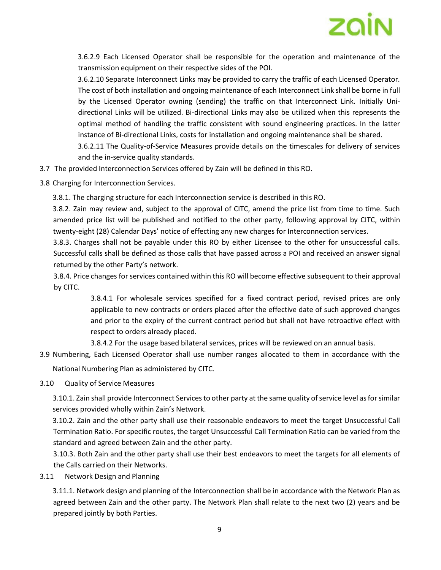

3.6.2.9 Each Licensed Operator shall be responsible for the operation and maintenance of the transmission equipment on their respective sides of the POI.

3.6.2.10 Separate Interconnect Links may be provided to carry the traffic of each Licensed Operator. The cost of both installation and ongoing maintenance of each Interconnect Link shall be borne in full by the Licensed Operator owning (sending) the traffic on that Interconnect Link. Initially Unidirectional Links will be utilized. Bi-directional Links may also be utilized when this represents the optimal method of handling the traffic consistent with sound engineering practices. In the latter instance of Bi-directional Links, costs for installation and ongoing maintenance shall be shared.

3.6.2.11 The Quality-of-Service Measures provide details on the timescales for delivery of services and the in-service quality standards.

- 3.7 The provided Interconnection Services offered by Zain will be defined in this RO.
- 3.8 Charging for Interconnection Services.
	- 3.8.1. The charging structure for each Interconnection service is described in this RO.

3.8.2. Zain may review and, subject to the approval of CITC, amend the price list from time to time. Such amended price list will be published and notified to the other party, following approval by CITC, within twenty-eight (28) Calendar Days' notice of effecting any new charges for Interconnection services.

3.8.3. Charges shall not be payable under this RO by either Licensee to the other for unsuccessful calls. Successful calls shall be defined as those calls that have passed across a POI and received an answer signal returned by the other Party's network.

3.8.4. Price changes for services contained within this RO will become effective subsequent to their approval by CITC.

> 3.8.4.1 For wholesale services specified for a fixed contract period, revised prices are only applicable to new contracts or orders placed after the effective date of such approved changes and prior to the expiry of the current contract period but shall not have retroactive effect with respect to orders already placed.

3.8.4.2 For the usage based bilateral services, prices will be reviewed on an annual basis.

3.9 Numbering, Each Licensed Operator shall use number ranges allocated to them in accordance with the

National Numbering Plan as administered by CITC.

3.10 Quality of Service Measures

3.10.1. Zain shall provide Interconnect Services to other party at the same quality of service level as for similar services provided wholly within Zain's Network.

3.10.2. Zain and the other party shall use their reasonable endeavors to meet the target Unsuccessful Call Termination Ratio. For specific routes, the target Unsuccessful Call Termination Ratio can be varied from the standard and agreed between Zain and the other party.

3.10.3. Both Zain and the other party shall use their best endeavors to meet the targets for all elements of the Calls carried on their Networks.

3.11 Network Design and Planning

3.11.1. Network design and planning of the Interconnection shall be in accordance with the Network Plan as agreed between Zain and the other party. The Network Plan shall relate to the next two (2) years and be prepared jointly by both Parties.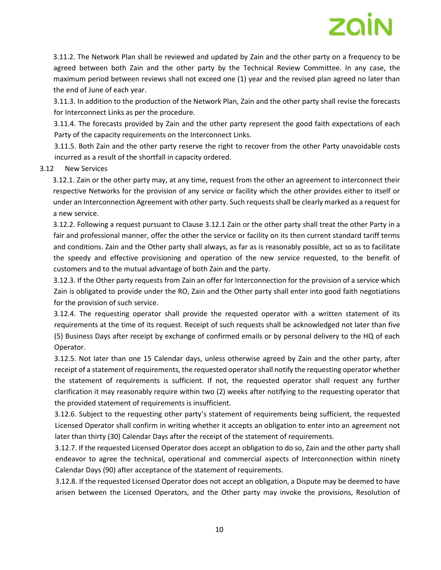

3.11.2. The Network Plan shall be reviewed and updated by Zain and the other party on a frequency to be agreed between both Zain and the other party by the Technical Review Committee. In any case, the maximum period between reviews shall not exceed one (1) year and the revised plan agreed no later than the end of June of each year.

3.11.3. In addition to the production of the Network Plan, Zain and the other party shall revise the forecasts for Interconnect Links as per the procedure.

3.11.4. The forecasts provided by Zain and the other party represent the good faith expectations of each Party of the capacity requirements on the Interconnect Links.

3.11.5. Both Zain and the other party reserve the right to recover from the other Party unavoidable costs incurred as a result of the shortfall in capacity ordered.

#### 3.12 New Services

3.12.1. Zain or the other party may, at any time, request from the other an agreement to interconnect their respective Networks for the provision of any service or facility which the other provides either to itself or under an Interconnection Agreement with other party. Such requests shall be clearly marked as a request for a new service.

3.12.2. Following a request pursuant to Clause 3.12.1 Zain or the other party shall treat the other Party in a fair and professional manner, offer the other the service or facility on its then current standard tariff terms and conditions. Zain and the Other party shall always, as far as is reasonably possible, act so as to facilitate the speedy and effective provisioning and operation of the new service requested, to the benefit of customers and to the mutual advantage of both Zain and the party.

3.12.3. If the Other party requests from Zain an offer for Interconnection for the provision of a service which Zain is obligated to provide under the RO, Zain and the Other party shall enter into good faith negotiations for the provision of such service.

3.12.4. The requesting operator shall provide the requested operator with a written statement of its requirements at the time of its request. Receipt of such requests shall be acknowledged not later than five (5) Business Days after receipt by exchange of confirmed emails or by personal delivery to the HQ of each Operator.

3.12.5. Not later than one 15 Calendar days, unless otherwise agreed by Zain and the other party, after receipt of a statement of requirements, the requested operator shall notify the requesting operator whether the statement of requirements is sufficient. If not, the requested operator shall request any further clarification it may reasonably require within two (2) weeks after notifying to the requesting operator that the provided statement of requirements is insufficient.

3.12.6. Subject to the requesting other party's statement of requirements being sufficient, the requested Licensed Operator shall confirm in writing whether it accepts an obligation to enter into an agreement not later than thirty (30) Calendar Days after the receipt of the statement of requirements.

3.12.7. If the requested Licensed Operator does accept an obligation to do so, Zain and the other party shall endeavor to agree the technical, operational and commercial aspects of Interconnection within ninety Calendar Days (90) after acceptance of the statement of requirements.

3.12.8. If the requested Licensed Operator does not accept an obligation, a Dispute may be deemed to have arisen between the Licensed Operators, and the Other party may invoke the provisions, Resolution of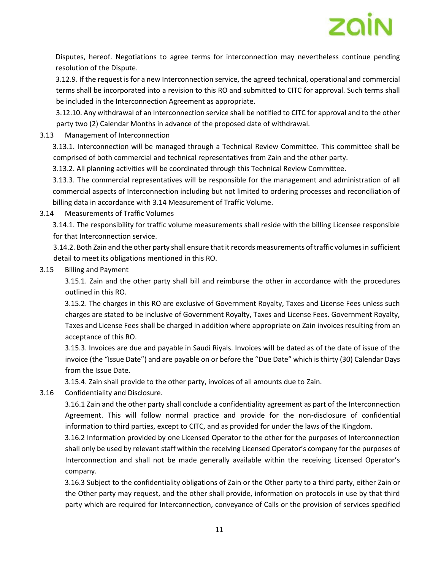

Disputes, hereof. Negotiations to agree terms for interconnection may nevertheless continue pending resolution of the Dispute.

3.12.9. If the request is for a new Interconnection service, the agreed technical, operational and commercial terms shall be incorporated into a revision to this RO and submitted to CITC for approval. Such terms shall be included in the Interconnection Agreement as appropriate.

3.12.10. Any withdrawal of an Interconnection service shall be notified to CITC for approval and to the other party two (2) Calendar Months in advance of the proposed date of withdrawal.

3.13 Management of Interconnection

3.13.1. Interconnection will be managed through a Technical Review Committee. This committee shall be comprised of both commercial and technical representatives from Zain and the other party.

3.13.2. All planning activities will be coordinated through this Technical Review Committee.

3.13.3. The commercial representatives will be responsible for the management and administration of all commercial aspects of Interconnection including but not limited to ordering processes and reconciliation of billing data in accordance with 3.14 Measurement of Traffic Volume.

3.14 Measurements of Traffic Volumes

3.14.1. The responsibility for traffic volume measurements shall reside with the billing Licensee responsible for that Interconnection service.

3.14.2. Both Zain and the other party shall ensure that it records measurements of traffic volumes in sufficient detail to meet its obligations mentioned in this RO.

3.15 Billing and Payment

3.15.1. Zain and the other party shall bill and reimburse the other in accordance with the procedures outlined in this RO.

3.15.2. The charges in this RO are exclusive of Government Royalty, Taxes and License Fees unless such charges are stated to be inclusive of Government Royalty, Taxes and License Fees. Government Royalty, Taxes and License Fees shall be charged in addition where appropriate on Zain invoices resulting from an acceptance of this RO.

3.15.3. Invoices are due and payable in Saudi Riyals. Invoices will be dated as of the date of issue of the invoice (the "Issue Date") and are payable on or before the "Due Date" which is thirty (30) Calendar Days from the Issue Date.

3.15.4. Zain shall provide to the other party, invoices of all amounts due to Zain.

3.16 Confidentiality and Disclosure.

3.16.1 Zain and the other party shall conclude a confidentiality agreement as part of the Interconnection Agreement. This will follow normal practice and provide for the non-disclosure of confidential information to third parties, except to CITC, and as provided for under the laws of the Kingdom.

3.16.2 Information provided by one Licensed Operator to the other for the purposes of Interconnection shall only be used by relevant staff within the receiving Licensed Operator's company for the purposes of Interconnection and shall not be made generally available within the receiving Licensed Operator's company.

3.16.3 Subject to the confidentiality obligations of Zain or the Other party to a third party, either Zain or the Other party may request, and the other shall provide, information on protocols in use by that third party which are required for Interconnection, conveyance of Calls or the provision of services specified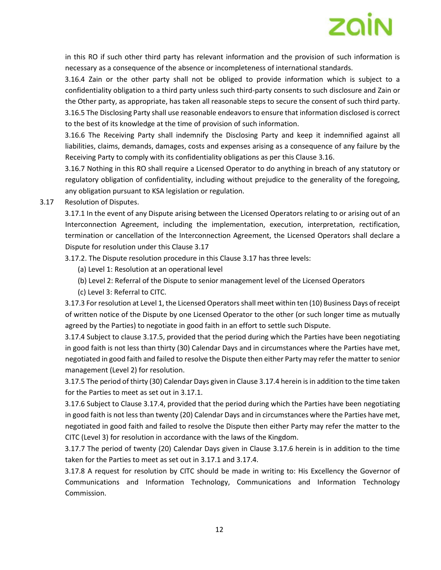

in this RO if such other third party has relevant information and the provision of such information is necessary as a consequence of the absence or incompleteness of international standards.

3.16.4 Zain or the other party shall not be obliged to provide information which is subject to a confidentiality obligation to a third party unless such third-party consents to such disclosure and Zain or the Other party, as appropriate, has taken all reasonable steps to secure the consent of such third party. 3.16.5 The Disclosing Party shall use reasonable endeavors to ensure that information disclosed is correct to the best of its knowledge at the time of provision of such information.

3.16.6 The Receiving Party shall indemnify the Disclosing Party and keep it indemnified against all liabilities, claims, demands, damages, costs and expenses arising as a consequence of any failure by the Receiving Party to comply with its confidentiality obligations as per this Clause 3.16.

3.16.7 Nothing in this RO shall require a Licensed Operator to do anything in breach of any statutory or regulatory obligation of confidentiality, including without prejudice to the generality of the foregoing, any obligation pursuant to KSA legislation or regulation.

3.17 Resolution of Disputes.

3.17.1 In the event of any Dispute arising between the Licensed Operators relating to or arising out of an Interconnection Agreement, including the implementation, execution, interpretation, rectification, termination or cancellation of the Interconnection Agreement, the Licensed Operators shall declare a Dispute for resolution under this Clause 3.17

3.17.2. The Dispute resolution procedure in this Clause 3.17 has three levels:

(a) Level 1: Resolution at an operational level

(b) Level 2: Referral of the Dispute to senior management level of the Licensed Operators

(c) Level 3: Referral to CITC.

3.17.3 For resolution at Level 1, the Licensed Operators shall meet within ten (10) Business Days of receipt of written notice of the Dispute by one Licensed Operator to the other (or such longer time as mutually agreed by the Parties) to negotiate in good faith in an effort to settle such Dispute.

3.17.4 Subject to clause 3.17.5, provided that the period during which the Parties have been negotiating in good faith is not less than thirty (30) Calendar Days and in circumstances where the Parties have met, negotiated in good faith and failed to resolve the Dispute then either Party may refer the matter to senior management (Level 2) for resolution.

3.17.5 The period of thirty (30) Calendar Days given in Clause 3.17.4 herein is in addition to the time taken for the Parties to meet as set out in 3.17.1.

3.17.6 Subject to Clause 3.17.4, provided that the period during which the Parties have been negotiating in good faith is not less than twenty (20) Calendar Days and in circumstances where the Parties have met, negotiated in good faith and failed to resolve the Dispute then either Party may refer the matter to the CITC (Level 3) for resolution in accordance with the laws of the Kingdom.

3.17.7 The period of twenty (20) Calendar Days given in Clause 3.17.6 herein is in addition to the time taken for the Parties to meet as set out in 3.17.1 and 3.17.4.

3.17.8 A request for resolution by CITC should be made in writing to: His Excellency the Governor of Communications and Information Technology, Communications and Information Technology Commission.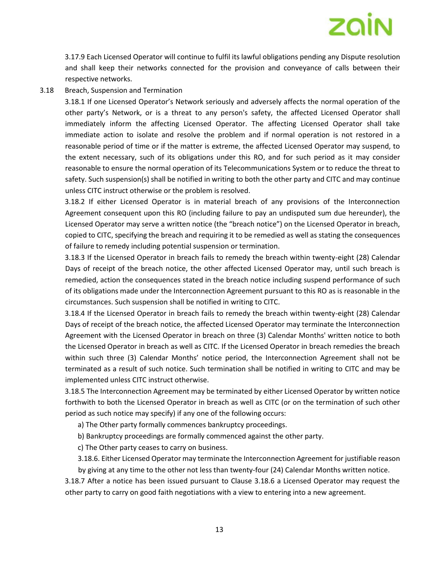# ZQİN

3.17.9 Each Licensed Operator will continue to fulfil its lawful obligations pending any Dispute resolution and shall keep their networks connected for the provision and conveyance of calls between their respective networks.

3.18 Breach, Suspension and Termination

3.18.1 If one Licensed Operator's Network seriously and adversely affects the normal operation of the other party's Network, or is a threat to any person's safety, the affected Licensed Operator shall immediately inform the affecting Licensed Operator. The affecting Licensed Operator shall take immediate action to isolate and resolve the problem and if normal operation is not restored in a reasonable period of time or if the matter is extreme, the affected Licensed Operator may suspend, to the extent necessary, such of its obligations under this RO, and for such period as it may consider reasonable to ensure the normal operation of its Telecommunications System or to reduce the threat to safety. Such suspension(s) shall be notified in writing to both the other party and CITC and may continue unless CITC instruct otherwise or the problem is resolved.

3.18.2 If either Licensed Operator is in material breach of any provisions of the Interconnection Agreement consequent upon this RO (including failure to pay an undisputed sum due hereunder), the Licensed Operator may serve a written notice (the "breach notice") on the Licensed Operator in breach, copied to CITC, specifying the breach and requiring it to be remedied as well as stating the consequences of failure to remedy including potential suspension or termination.

3.18.3 If the Licensed Operator in breach fails to remedy the breach within twenty-eight (28) Calendar Days of receipt of the breach notice, the other affected Licensed Operator may, until such breach is remedied, action the consequences stated in the breach notice including suspend performance of such of its obligations made under the Interconnection Agreement pursuant to this RO as is reasonable in the circumstances. Such suspension shall be notified in writing to CITC.

3.18.4 If the Licensed Operator in breach fails to remedy the breach within twenty-eight (28) Calendar Days of receipt of the breach notice, the affected Licensed Operator may terminate the Interconnection Agreement with the Licensed Operator in breach on three (3) Calendar Months' written notice to both the Licensed Operator in breach as well as CITC. If the Licensed Operator in breach remedies the breach within such three (3) Calendar Months' notice period, the Interconnection Agreement shall not be terminated as a result of such notice. Such termination shall be notified in writing to CITC and may be implemented unless CITC instruct otherwise.

3.18.5 The Interconnection Agreement may be terminated by either Licensed Operator by written notice forthwith to both the Licensed Operator in breach as well as CITC (or on the termination of such other period as such notice may specify) if any one of the following occurs:

a) The Other party formally commences bankruptcy proceedings.

b) Bankruptcy proceedings are formally commenced against the other party.

c) The Other party ceases to carry on business.

3.18.6. Either Licensed Operator may terminate the Interconnection Agreement for justifiable reason by giving at any time to the other not less than twenty-four (24) Calendar Months written notice.

3.18.7 After a notice has been issued pursuant to Clause 3.18.6 a Licensed Operator may request the other party to carry on good faith negotiations with a view to entering into a new agreement.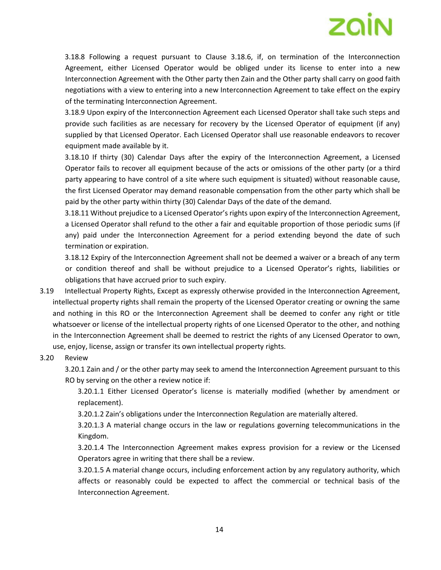3.18.8 Following a request pursuant to Clause 3.18.6, if, on termination of the Interconnection Agreement, either Licensed Operator would be obliged under its license to enter into a new Interconnection Agreement with the Other party then Zain and the Other party shall carry on good faith negotiations with a view to entering into a new Interconnection Agreement to take effect on the expiry of the terminating Interconnection Agreement.

3.18.9 Upon expiry of the Interconnection Agreement each Licensed Operator shall take such steps and provide such facilities as are necessary for recovery by the Licensed Operator of equipment (if any) supplied by that Licensed Operator. Each Licensed Operator shall use reasonable endeavors to recover equipment made available by it.

3.18.10 If thirty (30) Calendar Days after the expiry of the Interconnection Agreement, a Licensed Operator fails to recover all equipment because of the acts or omissions of the other party (or a third party appearing to have control of a site where such equipment is situated) without reasonable cause, the first Licensed Operator may demand reasonable compensation from the other party which shall be paid by the other party within thirty (30) Calendar Days of the date of the demand.

3.18.11 Without prejudice to a Licensed Operator's rights upon expiry of the Interconnection Agreement, a Licensed Operator shall refund to the other a fair and equitable proportion of those periodic sums (if any) paid under the Interconnection Agreement for a period extending beyond the date of such termination or expiration.

3.18.12 Expiry of the Interconnection Agreement shall not be deemed a waiver or a breach of any term or condition thereof and shall be without prejudice to a Licensed Operator's rights, liabilities or obligations that have accrued prior to such expiry.

3.19 Intellectual Property Rights, Except as expressly otherwise provided in the Interconnection Agreement, intellectual property rights shall remain the property of the Licensed Operator creating or owning the same and nothing in this RO or the Interconnection Agreement shall be deemed to confer any right or title whatsoever or license of the intellectual property rights of one Licensed Operator to the other, and nothing in the Interconnection Agreement shall be deemed to restrict the rights of any Licensed Operator to own, use, enjoy, license, assign or transfer its own intellectual property rights.

#### 3.20 Review

3.20.1 Zain and / or the other party may seek to amend the Interconnection Agreement pursuant to this RO by serving on the other a review notice if:

3.20.1.1 Either Licensed Operator's license is materially modified (whether by amendment or replacement).

3.20.1.2 Zain's obligations under the Interconnection Regulation are materially altered.

3.20.1.3 A material change occurs in the law or regulations governing telecommunications in the Kingdom.

3.20.1.4 The Interconnection Agreement makes express provision for a review or the Licensed Operators agree in writing that there shall be a review.

3.20.1.5 A material change occurs, including enforcement action by any regulatory authority, which affects or reasonably could be expected to affect the commercial or technical basis of the Interconnection Agreement.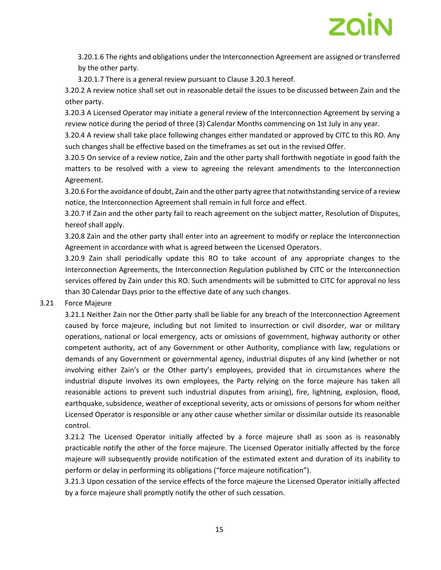

3.20.1.6 The rights and obligations under the Interconnection Agreement are assigned or transferred by the other party.

3.20.1.7 There is a general review pursuant to Clause 3.20.3 hereof.

3.20.2 A review notice shall set out in reasonable detail the issues to be discussed between Zain and the other party.

3.20.3 A Licensed Operator may initiate a general review of the Interconnection Agreement by serving a review notice during the period of three (3) Calendar Months commencing on 1st July in any year.

3.20.4 A review shall take place following changes either mandated or approved by CITC to this RO. Any such changes shall be effective based on the timeframes as set out in the revised Offer.

3.20.5 On service of a review notice, Zain and the other party shall forthwith negotiate in good faith the matters to be resolved with a view to agreeing the relevant amendments to the Interconnection Agreement.

3.20.6 For the avoidance of doubt, Zain and the other party agree that notwithstanding service of a review notice, the Interconnection Agreement shall remain in full force and effect.

3.20.7 If Zain and the other party fail to reach agreement on the subject matter, Resolution of Disputes, hereof shall apply.

3.20.8 Zain and the other party shall enter into an agreement to modify or replace the Interconnection Agreement in accordance with what is agreed between the Licensed Operators.

3.20.9 Zain shall periodically update this RO to take account of any appropriate changes to the Interconnection Agreements, the Interconnection Regulation published by CITC or the Interconnection services offered by Zain under this RO. Such amendments will be submitted to CITC for approval no less than 30 Calendar Days prior to the effective date of any such changes.

#### 3.21 Force Majeure

3.21.1 Neither Zain nor the Other party shall be liable for any breach of the Interconnection Agreement caused by force majeure, including but not limited to insurrection or civil disorder, war or military operations, national or local emergency, acts or omissions of government, highway authority or other competent authority, act of any Government or other Authority, compliance with law, regulations or demands of any Government or governmental agency, industrial disputes of any kind (whether or not involving either Zain's or the Other party's employees, provided that in circumstances where the industrial dispute involves its own employees, the Party relying on the force majeure has taken all reasonable actions to prevent such industrial disputes from arising), fire, lightning, explosion, flood, earthquake, subsidence, weather of exceptional severity, acts or omissions of persons for whom neither Licensed Operator is responsible or any other cause whether similar or dissimilar outside its reasonable control.

3.21.2 The Licensed Operator initially affected by a force majeure shall as soon as is reasonably practicable notify the other of the force majeure. The Licensed Operator initially affected by the force majeure will subsequently provide notification of the estimated extent and duration of its inability to perform or delay in performing its obligations ("force majeure notification").

3.21.3 Upon cessation of the service effects of the force majeure the Licensed Operator initially affected by a force majeure shall promptly notify the other of such cessation.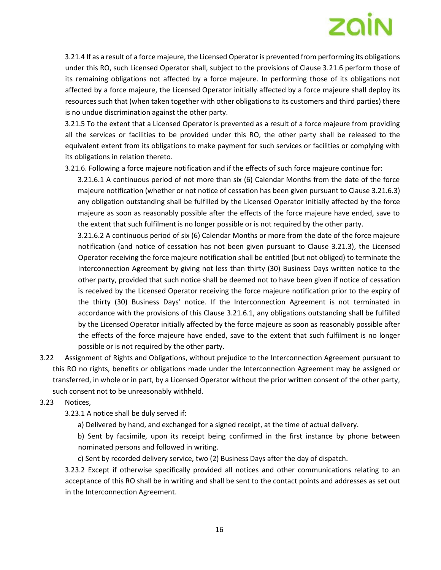3.21.4 If as a result of a force majeure, the Licensed Operator is prevented from performing its obligations under this RO, such Licensed Operator shall, subject to the provisions of Clause 3.21.6 perform those of its remaining obligations not affected by a force majeure. In performing those of its obligations not affected by a force majeure, the Licensed Operator initially affected by a force majeure shall deploy its resources such that (when taken together with other obligations to its customers and third parties) there is no undue discrimination against the other party.

3.21.5 To the extent that a Licensed Operator is prevented as a result of a force majeure from providing all the services or facilities to be provided under this RO, the other party shall be released to the equivalent extent from its obligations to make payment for such services or facilities or complying with its obligations in relation thereto.

3.21.6. Following a force majeure notification and if the effects of such force majeure continue for:

3.21.6.1 A continuous period of not more than six (6) Calendar Months from the date of the force majeure notification (whether or not notice of cessation has been given pursuant to Clause 3.21.6.3) any obligation outstanding shall be fulfilled by the Licensed Operator initially affected by the force majeure as soon as reasonably possible after the effects of the force majeure have ended, save to the extent that such fulfilment is no longer possible or is not required by the other party.

3.21.6.2 A continuous period of six (6) Calendar Months or more from the date of the force majeure notification (and notice of cessation has not been given pursuant to Clause 3.21.3), the Licensed Operator receiving the force majeure notification shall be entitled (but not obliged) to terminate the Interconnection Agreement by giving not less than thirty (30) Business Days written notice to the other party, provided that such notice shall be deemed not to have been given if notice of cessation is received by the Licensed Operator receiving the force majeure notification prior to the expiry of the thirty (30) Business Days' notice. If the Interconnection Agreement is not terminated in accordance with the provisions of this Clause 3.21.6.1, any obligations outstanding shall be fulfilled by the Licensed Operator initially affected by the force majeure as soon as reasonably possible after the effects of the force majeure have ended, save to the extent that such fulfilment is no longer possible or is not required by the other party.

- 3.22 Assignment of Rights and Obligations, without prejudice to the Interconnection Agreement pursuant to this RO no rights, benefits or obligations made under the Interconnection Agreement may be assigned or transferred, in whole or in part, by a Licensed Operator without the prior written consent of the other party, such consent not to be unreasonably withheld.
- 3.23 Notices,
	- 3.23.1 A notice shall be duly served if:
		- a) Delivered by hand, and exchanged for a signed receipt, at the time of actual delivery.

b) Sent by facsimile, upon its receipt being confirmed in the first instance by phone between nominated persons and followed in writing.

c) Sent by recorded delivery service, two (2) Business Days after the day of dispatch.

3.23.2 Except if otherwise specifically provided all notices and other communications relating to an acceptance of this RO shall be in writing and shall be sent to the contact points and addresses as set out in the Interconnection Agreement.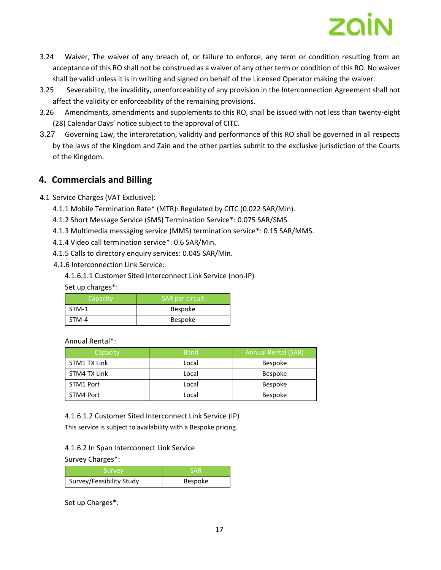

- 3.24 Waiver, The waiver of any breach of, or failure to enforce, any term or condition resulting from an acceptance of this RO shall not be construed as a waiver of any other term or condition of this RO. No waiver shall be valid unless it is in writing and signed on behalf of the Licensed Operator making the waiver.
- 3.25 Severability, the invalidity, unenforceability of any provision in the Interconnection Agreement shall not affect the validity or enforceability of the remaining provisions.
- 3.26 Amendments, amendments and supplements to this RO, shall be issued with not less than twenty-eight (28) Calendar Days' notice subject to the approval of CITC.
- 3.27 Governing Law, the interpretation, validity and performance of this RO shall be governed in all respects by the laws of the Kingdom and Zain and the other parties submit to the exclusive jurisdiction of the Courts of the Kingdom.

## **4. Commercials and Billing**

- 4.1 Service Charges (VAT Exclusive):
	- 4.1.1 Mobile Termination Rate\* (MTR): Regulated by CITC (0.022 SAR/Min).
	- 4.1.2 Short Message Service (SMS) Termination Service\*: 0.075 SAR/SMS.
	- 4.1.3 Multimedia messaging service (MMS) termination service\*: 0.15 SAR/MMS.
	- 4.1.4 Video call termination service\*: 0.6 SAR/Min.
	- 4.1.5 Calls to directory enquiry services: 0.045 SAR/Min.
	- 4.1.6 Interconnection Link Service:
		- 4.1.6.1.1 Customer Sited Interconnect Link Service (non-IP)

Set up charges\*:

| Capacity | SAR per circuit |
|----------|-----------------|
| STM-1    | <b>Bespoke</b>  |
| STM-4    | <b>Bespoke</b>  |

Annual Rental\*:

| Capacity     | <b>Band</b> | <b>Annual Rental (SAR)</b> |
|--------------|-------------|----------------------------|
| STM1 TX Link | Local       | <b>Bespoke</b>             |
| STM4 TX Link | Local       | <b>Bespoke</b>             |
| STM1 Port    | Local       | <b>Bespoke</b>             |
| STM4 Port    | Local       | <b>Bespoke</b>             |

4.1.6.1.2 Customer Sited Interconnect Link Service (IP)

This service is subject to availability with a Bespoke pricing.

4.1.6.2 In Span Interconnect Link Service

Survey Charges\*:

| Survey                   | <b>SAR</b>     |
|--------------------------|----------------|
| Survey/Feasibility Study | <b>Bespoke</b> |

Set up Charges\*: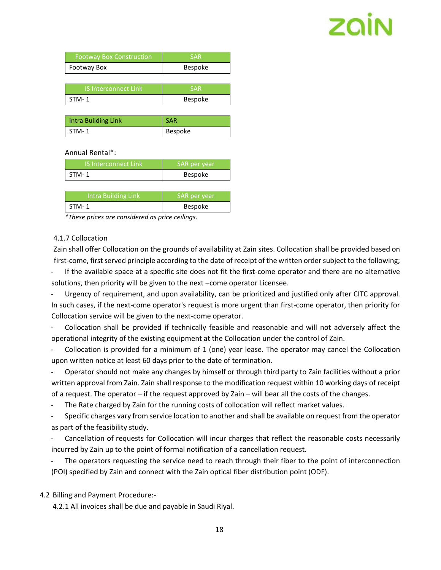| <b>Footway Box Construction</b> | <b>SAR</b> |
|---------------------------------|------------|
| <b>Footway Box</b>              | Bespoke    |

| 'IS Interconnect Link | <b>SAR</b> |
|-----------------------|------------|
| STM-1                 | Bespoke    |

| Intra Building Link | <b>SAR</b> |
|---------------------|------------|
| $STM-1$             | Bespoke    |

#### Annual Rental\*:

| IS Interconnect Link | SAR per year   |
|----------------------|----------------|
| $STM-1$              | <b>Bespoke</b> |

| Intra Building Link | SAR per year   |
|---------------------|----------------|
| $STM-1$             | <b>Bespoke</b> |

*\*These prices are considered as price ceilings.*

#### 4.1.7 Collocation

Zain shall offer Collocation on the grounds of availability at Zain sites. Collocation shall be provided based on first-come, first served principle according to the date of receipt of the written order subject to the following;

If the available space at a specific site does not fit the first-come operator and there are no alternative solutions, then priority will be given to the next –come operator Licensee.

- Urgency of requirement, and upon availability, can be prioritized and justified only after CITC approval. In such cases, if the next-come operator's request is more urgent than first-come operator, then priority for Collocation service will be given to the next-come operator.

Collocation shall be provided if technically feasible and reasonable and will not adversely affect the operational integrity of the existing equipment at the Collocation under the control of Zain.

Collocation is provided for a minimum of 1 (one) year lease. The operator may cancel the Collocation upon written notice at least 60 days prior to the date of termination.

- Operator should not make any changes by himself or through third party to Zain facilities without a prior written approval from Zain. Zain shall response to the modification request within 10 working days of receipt of a request. The operator – if the request approved by Zain – will bear all the costs of the changes.

The Rate charged by Zain for the running costs of collocation will reflect market values.

Specific charges vary from service location to another and shall be available on request from the operator as part of the feasibility study.

Cancellation of requests for Collocation will incur charges that reflect the reasonable costs necessarily incurred by Zain up to the point of formal notification of a cancellation request.

The operators requesting the service need to reach through their fiber to the point of interconnection (POI) specified by Zain and connect with the Zain optical fiber distribution point (ODF).

4.2 Billing and Payment Procedure:-

4.2.1 All invoices shall be due and payable in Saudi Riyal.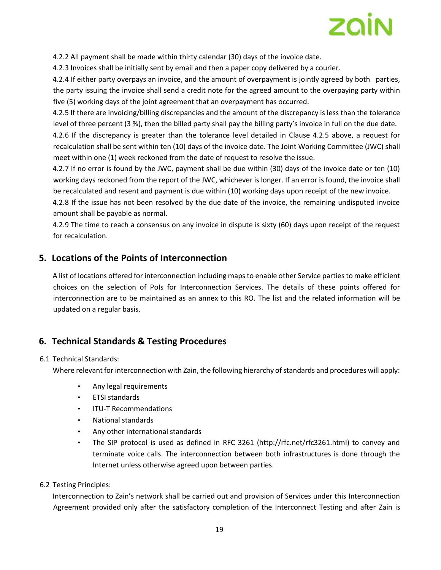

4.2.2 All payment shall be made within thirty calendar (30) days of the invoice date.

4.2.3 Invoices shall be initially sent by email and then a paper copy delivered by a courier.

4.2.4 If either party overpays an invoice, and the amount of overpayment is jointly agreed by both parties, the party issuing the invoice shall send a credit note for the agreed amount to the overpaying party within five (5) working days of the joint agreement that an overpayment has occurred.

4.2.5 If there are invoicing/billing discrepancies and the amount of the discrepancy is less than the tolerance level of three percent (3 %), then the billed party shall pay the billing party's invoice in full on the due date.

4.2.6 If the discrepancy is greater than the tolerance level detailed in Clause 4.2.5 above, a request for recalculation shall be sent within ten (10) days of the invoice date. The Joint Working Committee (JWC) shall meet within one (1) week reckoned from the date of request to resolve the issue.

4.2.7 If no error is found by the JWC, payment shall be due within (30) days of the invoice date or ten (10) working days reckoned from the report of the JWC, whichever is longer. If an error is found, the invoice shall be recalculated and resent and payment is due within (10) working days upon receipt of the new invoice.

4.2.8 If the issue has not been resolved by the due date of the invoice, the remaining undisputed invoice amount shall be payable as normal.

4.2.9 The time to reach a consensus on any invoice in dispute is sixty (60) days upon receipt of the request for recalculation.

## **5. Locations of the Points of Interconnection**

A list of locations offered for interconnection including maps to enable other Service partiesto make efficient choices on the selection of PoIs for Interconnection Services. The details of these points offered for interconnection are to be maintained as an annex to this RO. The list and the related information will be updated on a regular basis.

## **6. Technical Standards & Testing Procedures**

#### 6.1 Technical Standards:

Where relevant for interconnection with Zain, the following hierarchy of standards and procedures will apply:

- Any legal requirements
- ETSI standards
- ITU-T Recommendations
- National standards
- Any other international standards
- The SIP protocol is used as defined in RFC 3261 (http://rfc.net/rfc3261.html) to convey and terminate voice calls. The interconnection between both infrastructures is done through the Internet unless otherwise agreed upon between parties.

#### 6.2 Testing Principles:

Interconnection to Zain's network shall be carried out and provision of Services under this Interconnection Agreement provided only after the satisfactory completion of the Interconnect Testing and after Zain is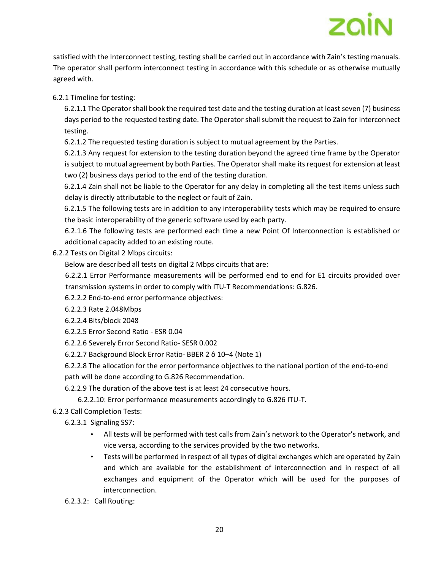satisfied with the Interconnect testing, testing shall be carried out in accordance with Zain's testing manuals. The operator shall perform interconnect testing in accordance with this schedule or as otherwise mutually agreed with.

6.2.1 Timeline for testing:

6.2.1.1 The Operator shall book the required test date and the testing duration at least seven (7) business days period to the requested testing date. The Operator shall submit the request to Zain for interconnect testing.

6.2.1.2 The requested testing duration is subject to mutual agreement by the Parties.

6.2.1.3 Any request for extension to the testing duration beyond the agreed time frame by the Operator is subject to mutual agreement by both Parties. The Operator shall make its request for extension at least two (2) business days period to the end of the testing duration.

6.2.1.4 Zain shall not be liable to the Operator for any delay in completing all the test items unless such delay is directly attributable to the neglect or fault of Zain.

6.2.1.5 The following tests are in addition to any interoperability tests which may be required to ensure the basic interoperability of the generic software used by each party.

6.2.1.6 The following tests are performed each time a new Point Of Interconnection is established or additional capacity added to an existing route.

6.2.2 Tests on Digital 2 Mbps circuits:

Below are described all tests on digital 2 Mbps circuits that are:

6.2.2.1 Error Performance measurements will be performed end to end for E1 circuits provided over transmission systems in order to comply with ITU-T Recommendations: G.826.

- 6.2.2.2 End-to-end error performance objectives:
- 6.2.2.3 Rate 2.048Mbps
- 6.2.2.4 Bits/block 2048
- 6.2.2.5 Error Second Ratio ESR 0.04
- 6.2.2.6 Severely Error Second Ratio- SESR 0.002
- 6.2.2.7 Background Block Error Ratio- BBER 2 ô 10–4 (Note 1)

6.2.2.8 The allocation for the error performance objectives to the national portion of the end-to-end path will be done according to G.826 Recommendation.

6.2.2.9 The duration of the above test is at least 24 consecutive hours.

6.2.2.10: Error performance measurements accordingly to G.826 ITU-T.

6.2.3 Call Completion Tests:

6.2.3.1 Signaling SS7:

- All tests will be performed with test calls from Zain's network to the Operator's network, and vice versa, according to the services provided by the two networks.
- Tests will be performed in respect of all types of digital exchanges which are operated by Zain and which are available for the establishment of interconnection and in respect of all exchanges and equipment of the Operator which will be used for the purposes of interconnection.
- 6.2.3.2: Call Routing: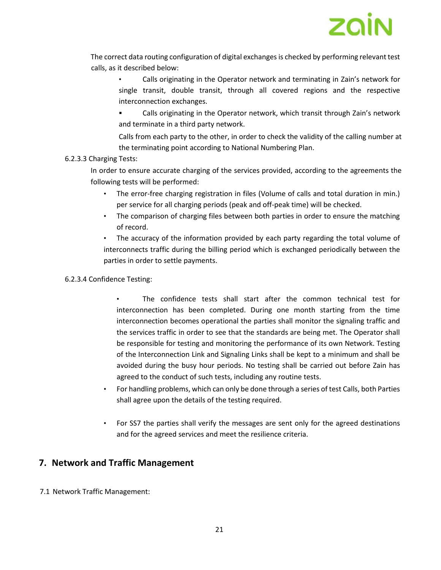

The correct data routing configuration of digital exchanges is checked by performing relevant test calls, as it described below:

• Calls originating in the Operator network and terminating in Zain's network for single transit, double transit, through all covered regions and the respective interconnection exchanges.

▪ Calls originating in the Operator network, which transit through Zain's network and terminate in a third party network.

Calls from each party to the other, in order to check the validity of the calling number at the terminating point according to National Numbering Plan.

#### 6.2.3.3 Charging Tests:

In order to ensure accurate charging of the services provided, according to the agreements the following tests will be performed:

- The error-free charging registration in files (Volume of calls and total duration in min.) per service for all charging periods (peak and off-peak time) will be checked.
- The comparison of charging files between both parties in order to ensure the matching of record.

The accuracy of the information provided by each party regarding the total volume of interconnects traffic during the billing period which is exchanged periodically between the parties in order to settle payments.

#### 6.2.3.4 Confidence Testing:

• The confidence tests shall start after the common technical test for interconnection has been completed. During one month starting from the time interconnection becomes operational the parties shall monitor the signaling traffic and the services traffic in order to see that the standards are being met. The Operator shall be responsible for testing and monitoring the performance of its own Network. Testing of the Interconnection Link and Signaling Links shall be kept to a minimum and shall be avoided during the busy hour periods. No testing shall be carried out before Zain has agreed to the conduct of such tests, including any routine tests.

- For handling problems, which can only be done through a series of test Calls, both Parties shall agree upon the details of the testing required.
- For SS7 the parties shall verify the messages are sent only for the agreed destinations and for the agreed services and meet the resilience criteria.

## **7. Network and Traffic Management**

7.1 Network Traffic Management: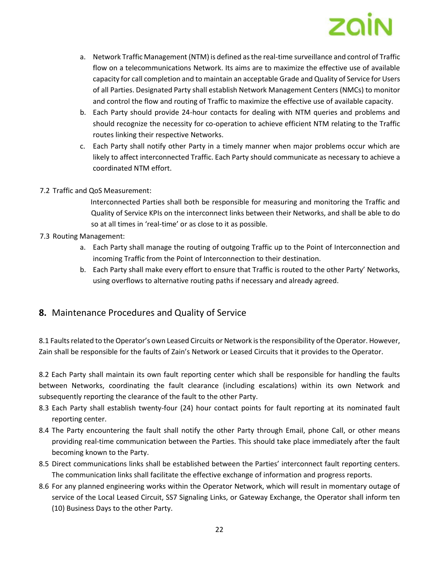

- a. Network Traffic Management (NTM) is defined as the real-time surveillance and control of Traffic flow on a telecommunications Network. Its aims are to maximize the effective use of available capacity for call completion and to maintain an acceptable Grade and Quality of Service for Users of all Parties. Designated Party shall establish Network Management Centers (NMCs) to monitor and control the flow and routing of Traffic to maximize the effective use of available capacity.
- b. Each Party should provide 24-hour contacts for dealing with NTM queries and problems and should recognize the necessity for co-operation to achieve efficient NTM relating to the Traffic routes linking their respective Networks.
- c. Each Party shall notify other Party in a timely manner when major problems occur which are likely to affect interconnected Traffic. Each Party should communicate as necessary to achieve a coordinated NTM effort.

#### 7.2 Traffic and QoS Measurement:

Interconnected Parties shall both be responsible for measuring and monitoring the Traffic and Quality of Service KPIs on the interconnect links between their Networks, and shall be able to do so at all times in 'real-time' or as close to it as possible.

#### 7.3 Routing Management:

- a. Each Party shall manage the routing of outgoing Traffic up to the Point of Interconnection and incoming Traffic from the Point of Interconnection to their destination.
- b. Each Party shall make every effort to ensure that Traffic is routed to the other Party' Networks, using overflows to alternative routing paths if necessary and already agreed.

## **8.** Maintenance Procedures and Quality of Service

8.1 Faults related to the Operator's own Leased Circuits or Network is the responsibility of the Operator. However, Zain shall be responsible for the faults of Zain's Network or Leased Circuits that it provides to the Operator.

8.2 Each Party shall maintain its own fault reporting center which shall be responsible for handling the faults between Networks, coordinating the fault clearance (including escalations) within its own Network and subsequently reporting the clearance of the fault to the other Party.

- 8.3 Each Party shall establish twenty-four (24) hour contact points for fault reporting at its nominated fault reporting center.
- 8.4 The Party encountering the fault shall notify the other Party through Email, phone Call, or other means providing real-time communication between the Parties. This should take place immediately after the fault becoming known to the Party.
- 8.5 Direct communications links shall be established between the Parties' interconnect fault reporting centers. The communication links shall facilitate the effective exchange of information and progress reports.
- 8.6 For any planned engineering works within the Operator Network, which will result in momentary outage of service of the Local Leased Circuit, SS7 Signaling Links, or Gateway Exchange, the Operator shall inform ten (10) Business Days to the other Party.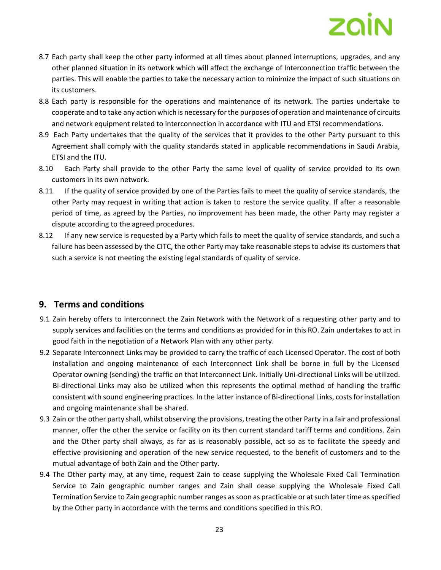- 8.7 Each party shall keep the other party informed at all times about planned interruptions, upgrades, and any other planned situation in its network which will affect the exchange of Interconnection traffic between the parties. This will enable the parties to take the necessary action to minimize the impact of such situations on its customers.
- 8.8 Each party is responsible for the operations and maintenance of its network. The parties undertake to cooperate and to take any action which is necessary for the purposes of operation and maintenance of circuits and network equipment related to interconnection in accordance with ITU and ETSI recommendations.
- 8.9 Each Party undertakes that the quality of the services that it provides to the other Party pursuant to this Agreement shall comply with the quality standards stated in applicable recommendations in Saudi Arabia, ETSI and the ITU.
- 8.10 Each Party shall provide to the other Party the same level of quality of service provided to its own customers in its own network.
- 8.11 If the quality of service provided by one of the Parties fails to meet the quality of service standards, the other Party may request in writing that action is taken to restore the service quality. If after a reasonable period of time, as agreed by the Parties, no improvement has been made, the other Party may register a dispute according to the agreed procedures.
- 8.12 If any new service is requested by a Party which fails to meet the quality of service standards, and such a failure has been assessed by the CITC, the other Party may take reasonable steps to advise its customers that such a service is not meeting the existing legal standards of quality of service.

## **9. Terms and conditions**

- 9.1 Zain hereby offers to interconnect the Zain Network with the Network of a requesting other party and to supply services and facilities on the terms and conditions as provided for in this RO. Zain undertakes to act in good faith in the negotiation of a Network Plan with any other party.
- 9.2 Separate Interconnect Links may be provided to carry the traffic of each Licensed Operator. The cost of both installation and ongoing maintenance of each Interconnect Link shall be borne in full by the Licensed Operator owning (sending) the traffic on that Interconnect Link. Initially Uni-directional Links will be utilized. Bi-directional Links may also be utilized when this represents the optimal method of handling the traffic consistent with sound engineering practices. In the latter instance of Bi-directional Links, costs for installation and ongoing maintenance shall be shared.
- 9.3 Zain or the other party shall, whilst observing the provisions, treating the other Party in a fair and professional manner, offer the other the service or facility on its then current standard tariff terms and conditions. Zain and the Other party shall always, as far as is reasonably possible, act so as to facilitate the speedy and effective provisioning and operation of the new service requested, to the benefit of customers and to the mutual advantage of both Zain and the Other party.
- 9.4 The Other party may, at any time, request Zain to cease supplying the Wholesale Fixed Call Termination Service to Zain geographic number ranges and Zain shall cease supplying the Wholesale Fixed Call Termination Service to Zain geographic number ranges as soon as practicable or at such later time as specified by the Other party in accordance with the terms and conditions specified in this RO.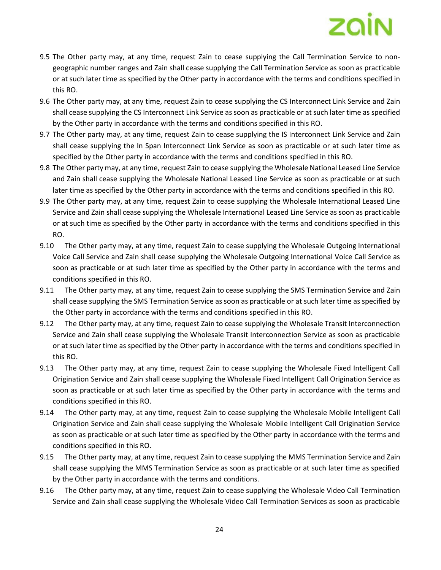- 9.5 The Other party may, at any time, request Zain to cease supplying the Call Termination Service to nongeographic number ranges and Zain shall cease supplying the Call Termination Service as soon as practicable or at such later time as specified by the Other party in accordance with the terms and conditions specified in this RO.
- 9.6 The Other party may, at any time, request Zain to cease supplying the CS Interconnect Link Service and Zain shall cease supplying the CS Interconnect Link Service as soon as practicable or at such later time as specified by the Other party in accordance with the terms and conditions specified in this RO.
- 9.7 The Other party may, at any time, request Zain to cease supplying the IS Interconnect Link Service and Zain shall cease supplying the In Span Interconnect Link Service as soon as practicable or at such later time as specified by the Other party in accordance with the terms and conditions specified in this RO.
- 9.8 The Other party may, at any time, request Zain to cease supplying the Wholesale National Leased Line Service and Zain shall cease supplying the Wholesale National Leased Line Service as soon as practicable or at such later time as specified by the Other party in accordance with the terms and conditions specified in this RO.
- 9.9 The Other party may, at any time, request Zain to cease supplying the Wholesale International Leased Line Service and Zain shall cease supplying the Wholesale International Leased Line Service as soon as practicable or at such time as specified by the Other party in accordance with the terms and conditions specified in this RO.
- 9.10 The Other party may, at any time, request Zain to cease supplying the Wholesale Outgoing International Voice Call Service and Zain shall cease supplying the Wholesale Outgoing International Voice Call Service as soon as practicable or at such later time as specified by the Other party in accordance with the terms and conditions specified in this RO.
- 9.11 The Other party may, at any time, request Zain to cease supplying the SMS Termination Service and Zain shall cease supplying the SMS Termination Service as soon as practicable or at such later time as specified by the Other party in accordance with the terms and conditions specified in this RO.
- 9.12 The Other party may, at any time, request Zain to cease supplying the Wholesale Transit Interconnection Service and Zain shall cease supplying the Wholesale Transit Interconnection Service as soon as practicable or at such later time as specified by the Other party in accordance with the terms and conditions specified in this RO.
- 9.13 The Other party may, at any time, request Zain to cease supplying the Wholesale Fixed Intelligent Call Origination Service and Zain shall cease supplying the Wholesale Fixed Intelligent Call Origination Service as soon as practicable or at such later time as specified by the Other party in accordance with the terms and conditions specified in this RO.
- 9.14 The Other party may, at any time, request Zain to cease supplying the Wholesale Mobile Intelligent Call Origination Service and Zain shall cease supplying the Wholesale Mobile Intelligent Call Origination Service as soon as practicable or at such later time as specified by the Other party in accordance with the terms and conditions specified in this RO.
- 9.15 The Other party may, at any time, request Zain to cease supplying the MMS Termination Service and Zain shall cease supplying the MMS Termination Service as soon as practicable or at such later time as specified by the Other party in accordance with the terms and conditions.
- 9.16 The Other party may, at any time, request Zain to cease supplying the Wholesale Video Call Termination Service and Zain shall cease supplying the Wholesale Video Call Termination Services as soon as practicable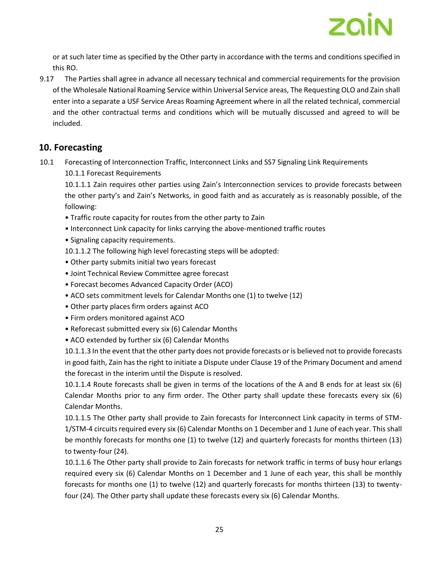

or at such later time as specified by the Other party in accordance with the terms and conditions specified in this RO.

9.17 The Parties shall agree in advance all necessary technical and commercial requirements for the provision of the Wholesale National Roaming Service within Universal Service areas, The Requesting OLO and Zain shall enter into a separate a USF Service Areas Roaming Agreement where in all the related technical, commercial and the other contractual terms and conditions which will be mutually discussed and agreed to will be included.

## **10. Forecasting**

10.1 Forecasting of Interconnection Traffic, Interconnect Links and SS7 Signaling Link Requirements 10.1.1 Forecast Requirements

10.1.1.1 Zain requires other parties using Zain's Interconnection services to provide forecasts between the other party's and Zain's Networks, in good faith and as accurately as is reasonably possible, of the following:

- Traffic route capacity for routes from the other party to Zain
- Interconnect Link capacity for links carrying the above-mentioned traffic routes
- Signaling capacity requirements.
- 10.1.1.2 The following high level forecasting steps will be adopted:
- Other party submits initial two years forecast
- Joint Technical Review Committee agree forecast
- Forecast becomes Advanced Capacity Order (ACO)
- ACO sets commitment levels for Calendar Months one (1) to twelve (12)
- Other party places firm orders against ACO
- Firm orders monitored against ACO
- Reforecast submitted every six (6) Calendar Months
- ACO extended by further six (6) Calendar Months

10.1.1.3 In the event that the other party does not provide forecasts or is believed not to provide forecasts in good faith, Zain has the right to initiate a Dispute under Clause 19 of the Primary Document and amend the forecast in the interim until the Dispute is resolved.

10.1.1.4 Route forecasts shall be given in terms of the locations of the A and B ends for at least six (6) Calendar Months prior to any firm order. The Other party shall update these forecasts every six (6) Calendar Months.

10.1.1.5 The Other party shall provide to Zain forecasts for Interconnect Link capacity in terms of STM-1/STM-4 circuits required every six (6) Calendar Months on 1 December and 1 June of each year. This shall be monthly forecasts for months one (1) to twelve (12) and quarterly forecasts for months thirteen (13) to twenty-four (24).

10.1.1.6 The Other party shall provide to Zain forecasts for network traffic in terms of busy hour erlangs required every six (6) Calendar Months on 1 December and 1 June of each year, this shall be monthly forecasts for months one (1) to twelve (12) and quarterly forecasts for months thirteen (13) to twentyfour (24). The Other party shall update these forecasts every six (6) Calendar Months.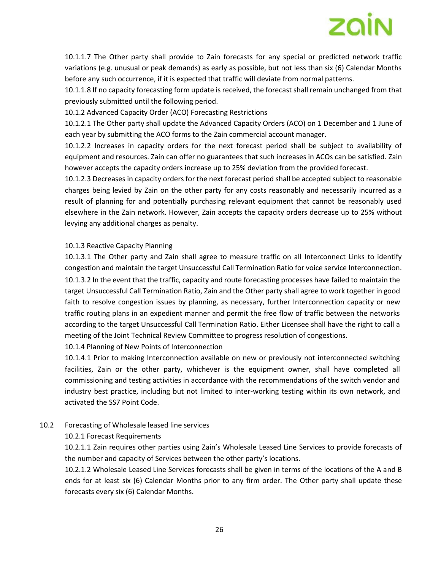

10.1.1.7 The Other party shall provide to Zain forecasts for any special or predicted network traffic variations (e.g. unusual or peak demands) as early as possible, but not less than six (6) Calendar Months before any such occurrence, if it is expected that traffic will deviate from normal patterns.

10.1.1.8 If no capacity forecasting form update is received, the forecast shall remain unchanged from that previously submitted until the following period.

10.1.2 Advanced Capacity Order (ACO) Forecasting Restrictions

10.1.2.1 The Other party shall update the Advanced Capacity Orders (ACO) on 1 December and 1 June of each year by submitting the ACO forms to the Zain commercial account manager.

10.1.2.2 Increases in capacity orders for the next forecast period shall be subject to availability of equipment and resources. Zain can offer no guarantees that such increases in ACOs can be satisfied. Zain however accepts the capacity orders increase up to 25% deviation from the provided forecast.

10.1.2.3 Decreases in capacity orders for the next forecast period shall be accepted subject to reasonable charges being levied by Zain on the other party for any costs reasonably and necessarily incurred as a result of planning for and potentially purchasing relevant equipment that cannot be reasonably used elsewhere in the Zain network. However, Zain accepts the capacity orders decrease up to 25% without levying any additional charges as penalty.

#### 10.1.3 Reactive Capacity Planning

10.1.3.1 The Other party and Zain shall agree to measure traffic on all Interconnect Links to identify congestion and maintain the target Unsuccessful Call Termination Ratio for voice service Interconnection. 10.1.3.2 In the event that the traffic, capacity and route forecasting processes have failed to maintain the target Unsuccessful Call Termination Ratio, Zain and the Other party shall agree to work together in good faith to resolve congestion issues by planning, as necessary, further Interconnection capacity or new traffic routing plans in an expedient manner and permit the free flow of traffic between the networks according to the target Unsuccessful Call Termination Ratio. Either Licensee shall have the right to call a meeting of the Joint Technical Review Committee to progress resolution of congestions.

10.1.4 Planning of New Points of Interconnection

10.1.4.1 Prior to making Interconnection available on new or previously not interconnected switching facilities, Zain or the other party, whichever is the equipment owner, shall have completed all commissioning and testing activities in accordance with the recommendations of the switch vendor and industry best practice, including but not limited to inter-working testing within its own network, and activated the SS7 Point Code.

#### 10.2 Forecasting of Wholesale leased line services

#### 10.2.1 Forecast Requirements

10.2.1.1 Zain requires other parties using Zain's Wholesale Leased Line Services to provide forecasts of the number and capacity of Services between the other party's locations.

10.2.1.2 Wholesale Leased Line Services forecasts shall be given in terms of the locations of the A and B ends for at least six (6) Calendar Months prior to any firm order. The Other party shall update these forecasts every six (6) Calendar Months.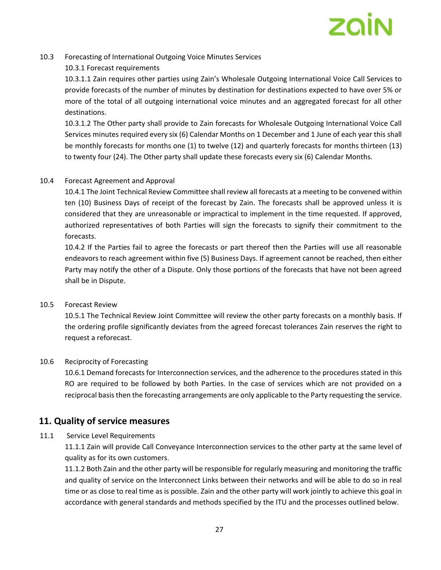

#### 10.3 Forecasting of International Outgoing Voice Minutes Services

#### 10.3.1 Forecast requirements

10.3.1.1 Zain requires other parties using Zain's Wholesale Outgoing International Voice Call Services to provide forecasts of the number of minutes by destination for destinations expected to have over 5% or more of the total of all outgoing international voice minutes and an aggregated forecast for all other destinations.

10.3.1.2 The Other party shall provide to Zain forecasts for Wholesale Outgoing International Voice Call Services minutes required every six (6) Calendar Months on 1 December and 1 June of each year this shall be monthly forecasts for months one (1) to twelve (12) and quarterly forecasts for months thirteen (13) to twenty four (24). The Other party shall update these forecasts every six (6) Calendar Months.

#### 10.4 Forecast Agreement and Approval

10.4.1 The Joint Technical Review Committee shall review all forecasts at a meeting to be convened within ten (10) Business Days of receipt of the forecast by Zain. The forecasts shall be approved unless it is considered that they are unreasonable or impractical to implement in the time requested. If approved, authorized representatives of both Parties will sign the forecasts to signify their commitment to the forecasts.

10.4.2 If the Parties fail to agree the forecasts or part thereof then the Parties will use all reasonable endeavors to reach agreement within five (5) Business Days. If agreement cannot be reached, then either Party may notify the other of a Dispute. Only those portions of the forecasts that have not been agreed shall be in Dispute.

#### 10.5 Forecast Review

10.5.1 The Technical Review Joint Committee will review the other party forecasts on a monthly basis. If the ordering profile significantly deviates from the agreed forecast tolerances Zain reserves the right to request a reforecast.

#### 10.6 Reciprocity of Forecasting

10.6.1 Demand forecasts for Interconnection services, and the adherence to the procedures stated in this RO are required to be followed by both Parties. In the case of services which are not provided on a reciprocal basis then the forecasting arrangements are only applicable to the Party requesting the service.

## **11. Quality of service measures**

#### 11.1 Service Level Requirements

11.1.1 Zain will provide Call Conveyance Interconnection services to the other party at the same level of quality as for its own customers.

11.1.2 Both Zain and the other party will be responsible for regularly measuring and monitoring the traffic and quality of service on the Interconnect Links between their networks and will be able to do so in real time or as close to real time as is possible. Zain and the other party will work jointly to achieve this goal in accordance with general standards and methods specified by the ITU and the processes outlined below.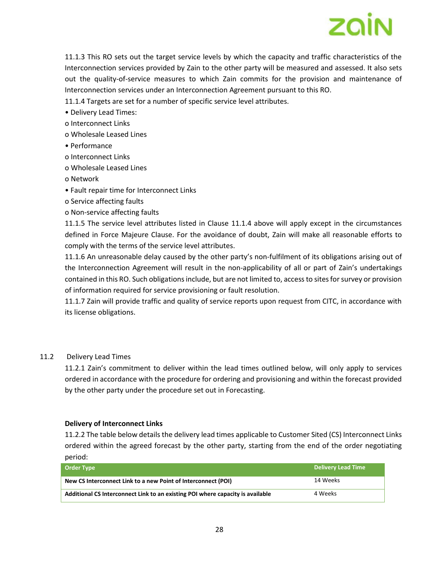

11.1.3 This RO sets out the target service levels by which the capacity and traffic characteristics of the Interconnection services provided by Zain to the other party will be measured and assessed. It also sets out the quality-of-service measures to which Zain commits for the provision and maintenance of Interconnection services under an Interconnection Agreement pursuant to this RO.

11.1.4 Targets are set for a number of specific service level attributes.

- Delivery Lead Times:
- o Interconnect Links
- o Wholesale Leased Lines
- Performance
- o Interconnect Links
- o Wholesale Leased Lines
- o Network
- Fault repair time for Interconnect Links
- o Service affecting faults
- o Non-service affecting faults

11.1.5 The service level attributes listed in Clause 11.1.4 above will apply except in the circumstances defined in Force Majeure Clause. For the avoidance of doubt, Zain will make all reasonable efforts to comply with the terms of the service level attributes.

11.1.6 An unreasonable delay caused by the other party's non-fulfilment of its obligations arising out of the Interconnection Agreement will result in the non-applicability of all or part of Zain's undertakings contained in this RO. Such obligations include, but are not limited to, access to sites for survey or provision of information required for service provisioning or fault resolution.

11.1.7 Zain will provide traffic and quality of service reports upon request from CITC, in accordance with its license obligations.

#### 11.2 Delivery Lead Times

11.2.1 Zain's commitment to deliver within the lead times outlined below, will only apply to services ordered in accordance with the procedure for ordering and provisioning and within the forecast provided by the other party under the procedure set out in Forecasting.

#### **Delivery of Interconnect Links**

11.2.2 The table below details the delivery lead times applicable to Customer Sited (CS) Interconnect Links ordered within the agreed forecast by the other party, starting from the end of the order negotiating period:

| <b>Order Type</b>                                                              | <b>Delivery Lead Time</b> |
|--------------------------------------------------------------------------------|---------------------------|
| New CS Interconnect Link to a new Point of Interconnect (POI)                  | 14 Weeks                  |
| Additional CS Interconnect Link to an existing POI where capacity is available | 4 Weeks                   |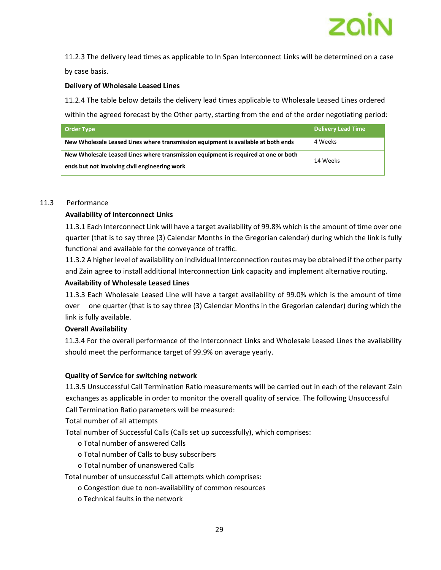

11.2.3 The delivery lead times as applicable to In Span Interconnect Links will be determined on a case by case basis.

#### **Delivery of Wholesale Leased Lines**

11.2.4 The table below details the delivery lead times applicable to Wholesale Leased Lines ordered within the agreed forecast by the Other party, starting from the end of the order negotiating period:

| Order Type                                                                                     | <b>Delivery Lead Time</b> |  |
|------------------------------------------------------------------------------------------------|---------------------------|--|
| New Wholesale Leased Lines where transmission equipment is available at both ends              | 4 Weeks                   |  |
| New Wholesale Leased Lines where transmission equipment is required at one or both<br>14 Weeks |                           |  |
| ends but not involving civil engineering work                                                  |                           |  |

#### 11.3 Performance

#### **Availability of Interconnect Links**

11.3.1 Each Interconnect Link will have a target availability of 99.8% which is the amount of time over one quarter (that is to say three (3) Calendar Months in the Gregorian calendar) during which the link is fully functional and available for the conveyance of traffic.

11.3.2 A higher level of availability on individual Interconnection routes may be obtained if the other party and Zain agree to install additional Interconnection Link capacity and implement alternative routing.

#### **Availability of Wholesale Leased Lines**

11.3.3 Each Wholesale Leased Line will have a target availability of 99.0% which is the amount of time over one quarter (that is to say three (3) Calendar Months in the Gregorian calendar) during which the link is fully available.

#### **Overall Availability**

11.3.4 For the overall performance of the Interconnect Links and Wholesale Leased Lines the availability should meet the performance target of 99.9% on average yearly.

#### **Quality of Service for switching network**

11.3.5 Unsuccessful Call Termination Ratio measurements will be carried out in each of the relevant Zain exchanges as applicable in order to monitor the overall quality of service. The following Unsuccessful Call Termination Ratio parameters will be measured:

Total number of all attempts

Total number of Successful Calls (Calls set up successfully), which comprises:

- o Total number of answered Calls
- o Total number of Calls to busy subscribers
- o Total number of unanswered Calls

Total number of unsuccessful Call attempts which comprises:

- o Congestion due to non-availability of common resources
- o Technical faults in the network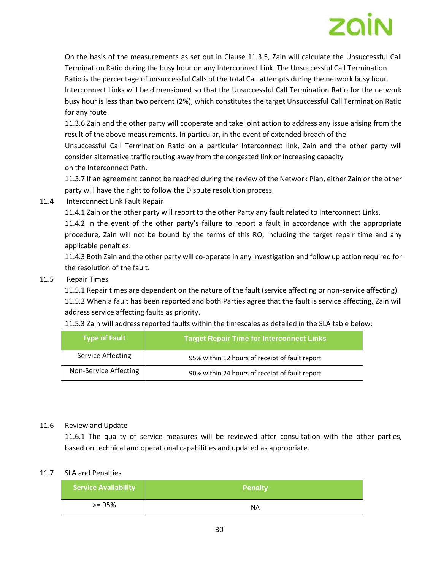On the basis of the measurements as set out in Clause 11.3.5, Zain will calculate the Unsuccessful Call Termination Ratio during the busy hour on any Interconnect Link. The Unsuccessful Call Termination Ratio is the percentage of unsuccessful Calls of the total Call attempts during the network busy hour. Interconnect Links will be dimensioned so that the Unsuccessful Call Termination Ratio for the network busy hour is less than two percent (2%), which constitutes the target Unsuccessful Call Termination Ratio for any route.

11.3.6 Zain and the other party will cooperate and take joint action to address any issue arising from the result of the above measurements. In particular, in the event of extended breach of the Unsuccessful Call Termination Ratio on a particular Interconnect link, Zain and the other party will consider alternative traffic routing away from the congested link or increasing capacity on the Interconnect Path.

11.3.7 If an agreement cannot be reached during the review of the Network Plan, either Zain or the other party will have the right to follow the Dispute resolution process.

11.4 Interconnect Link Fault Repair

11.4.1 Zain or the other party will report to the other Party any fault related to Interconnect Links.

11.4.2 In the event of the other party's failure to report a fault in accordance with the appropriate procedure, Zain will not be bound by the terms of this RO, including the target repair time and any applicable penalties.

11.4.3 Both Zain and the other party will co-operate in any investigation and follow up action required for the resolution of the fault.

#### 11.5 Repair Times

11.5.1 Repair times are dependent on the nature of the fault (service affecting or non-service affecting).

11.5.2 When a fault has been reported and both Parties agree that the fault is service affecting, Zain will address service affecting faults as priority.

| <b>Type of Fault</b>  | <b>Target Repair Time for Interconnect Links</b> |  |
|-----------------------|--------------------------------------------------|--|
| Service Affecting     | 95% within 12 hours of receipt of fault report   |  |
| Non-Service Affecting | 90% within 24 hours of receipt of fault report   |  |

11.5.3 Zain will address reported faults within the timescales as detailed in the SLA table below:

#### 11.6 Review and Update

11.6.1 The quality of service measures will be reviewed after consultation with the other parties, based on technical and operational capabilities and updated as appropriate.

#### 11.7 SLA and Penalties

| <b>Service Availability</b> | <b>Penalty</b> |
|-----------------------------|----------------|
| $>= 95%$                    | <b>NA</b>      |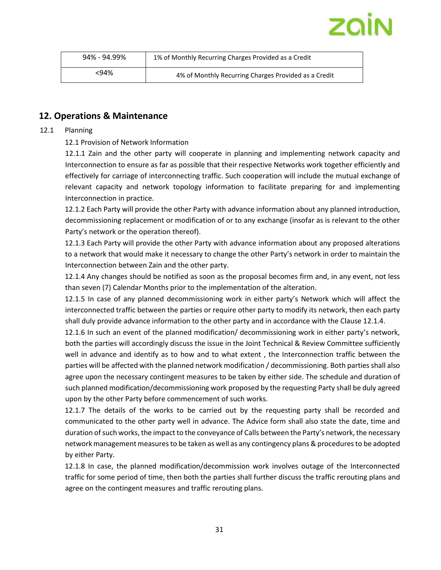

| 94% - 94.99%                                                 | 1% of Monthly Recurring Charges Provided as a Credit |
|--------------------------------------------------------------|------------------------------------------------------|
| <94%<br>4% of Monthly Recurring Charges Provided as a Credit |                                                      |

## **12. Operations & Maintenance**

12.1 Planning

#### 12.1 Provision of Network Information

12.1.1 Zain and the other party will cooperate in planning and implementing network capacity and Interconnection to ensure as far as possible that their respective Networks work together efficiently and effectively for carriage of interconnecting traffic. Such cooperation will include the mutual exchange of relevant capacity and network topology information to facilitate preparing for and implementing Interconnection in practice.

12.1.2 Each Party will provide the other Party with advance information about any planned introduction, decommissioning replacement or modification of or to any exchange (insofar as is relevant to the other Party's network or the operation thereof).

12.1.3 Each Party will provide the other Party with advance information about any proposed alterations to a network that would make it necessary to change the other Party's network in order to maintain the Interconnection between Zain and the other party.

12.1.4 Any changes should be notified as soon as the proposal becomes firm and, in any event, not less than seven (7) Calendar Months prior to the implementation of the alteration.

12.1.5 In case of any planned decommissioning work in either party's Network which will affect the interconnected traffic between the parties or require other party to modify its network, then each party shall duly provide advance information to the other party and in accordance with the Clause 12.1.4.

12.1.6 In such an event of the planned modification/ decommissioning work in either party's network, both the parties will accordingly discuss the issue in the Joint Technical & Review Committee sufficiently well in advance and identify as to how and to what extent , the Interconnection traffic between the parties will be affected with the planned network modification / decommissioning. Both parties shall also agree upon the necessary contingent measures to be taken by either side. The schedule and duration of such planned modification/decommissioning work proposed by the requesting Party shall be duly agreed upon by the other Party before commencement of such works.

12.1.7 The details of the works to be carried out by the requesting party shall be recorded and communicated to the other party well in advance. The Advice form shall also state the date, time and duration of such works, the impact to the conveyance of Calls between the Party's network, the necessary network management measures to be taken as well as any contingency plans & procedures to be adopted by either Party.

12.1.8 In case, the planned modification/decommission work involves outage of the Interconnected traffic for some period of time, then both the parties shall further discuss the traffic rerouting plans and agree on the contingent measures and traffic rerouting plans.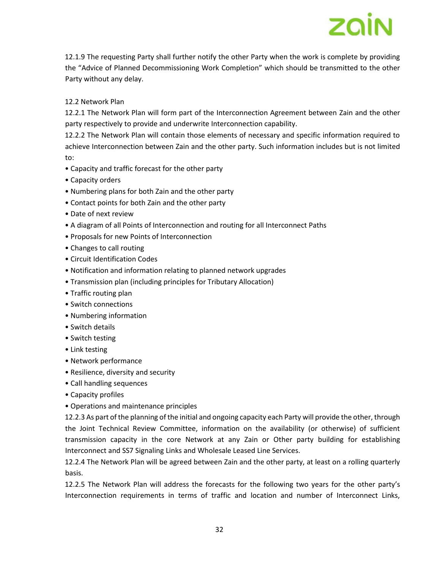12.1.9 The requesting Party shall further notify the other Party when the work is complete by providing the "Advice of Planned Decommissioning Work Completion" which should be transmitted to the other Party without any delay.

#### 12.2 Network Plan

12.2.1 The Network Plan will form part of the Interconnection Agreement between Zain and the other party respectively to provide and underwrite Interconnection capability.

12.2.2 The Network Plan will contain those elements of necessary and specific information required to achieve Interconnection between Zain and the other party. Such information includes but is not limited to:

- Capacity and traffic forecast for the other party
- Capacity orders
- Numbering plans for both Zain and the other party
- Contact points for both Zain and the other party
- Date of next review
- A diagram of all Points of Interconnection and routing for all Interconnect Paths
- Proposals for new Points of Interconnection
- Changes to call routing
- Circuit Identification Codes
- Notification and information relating to planned network upgrades
- Transmission plan (including principles for Tributary Allocation)
- Traffic routing plan
- Switch connections
- Numbering information
- Switch details
- Switch testing
- Link testing
- Network performance
- Resilience, diversity and security
- Call handling sequences
- Capacity profiles
- Operations and maintenance principles

12.2.3 As part of the planning of the initial and ongoing capacity each Party will provide the other, through the Joint Technical Review Committee, information on the availability (or otherwise) of sufficient transmission capacity in the core Network at any Zain or Other party building for establishing Interconnect and SS7 Signaling Links and Wholesale Leased Line Services.

12.2.4 The Network Plan will be agreed between Zain and the other party, at least on a rolling quarterly basis.

12.2.5 The Network Plan will address the forecasts for the following two years for the other party's Interconnection requirements in terms of traffic and location and number of Interconnect Links,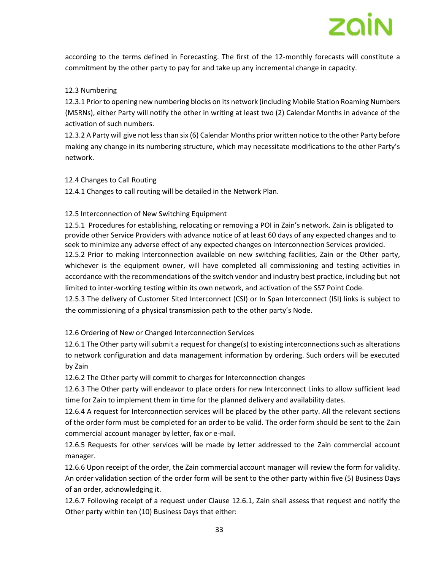according to the terms defined in Forecasting. The first of the 12-monthly forecasts will constitute a commitment by the other party to pay for and take up any incremental change in capacity.

#### 12.3 Numbering

12.3.1 Prior to opening new numbering blocks on its network (including Mobile Station Roaming Numbers (MSRNs), either Party will notify the other in writing at least two (2) Calendar Months in advance of the activation of such numbers.

12.3.2 A Party will give not less than six (6) Calendar Months prior written notice to the other Party before making any change in its numbering structure, which may necessitate modifications to the other Party's network.

#### 12.4 Changes to Call Routing

12.4.1 Changes to call routing will be detailed in the Network Plan.

#### 12.5 Interconnection of New Switching Equipment

12.5.1 Procedures for establishing, relocating or removing a POI in Zain's network. Zain is obligated to provide other Service Providers with advance notice of at least 60 days of any expected changes and to seek to minimize any adverse effect of any expected changes on Interconnection Services provided. 12.5.2 Prior to making Interconnection available on new switching facilities, Zain or the Other party, whichever is the equipment owner, will have completed all commissioning and testing activities in accordance with the recommendations of the switch vendor and industry best practice, including but not limited to inter-working testing within its own network, and activation of the SS7 Point Code. 12.5.3 The delivery of Customer Sited Interconnect (CSI) or In Span Interconnect (ISI) links is subject to

the commissioning of a physical transmission path to the other party's Node.

12.6 Ordering of New or Changed Interconnection Services

12.6.1 The Other party will submit a request for change(s) to existing interconnections such as alterations to network configuration and data management information by ordering. Such orders will be executed by Zain

12.6.2 The Other party will commit to charges for Interconnection changes

12.6.3 The Other party will endeavor to place orders for new Interconnect Links to allow sufficient lead time for Zain to implement them in time for the planned delivery and availability dates.

12.6.4 A request for Interconnection services will be placed by the other party. All the relevant sections of the order form must be completed for an order to be valid. The order form should be sent to the Zain commercial account manager by letter, fax or e-mail.

12.6.5 Requests for other services will be made by letter addressed to the Zain commercial account manager.

12.6.6 Upon receipt of the order, the Zain commercial account manager will review the form for validity. An order validation section of the order form will be sent to the other party within five (5) Business Days of an order, acknowledging it.

12.6.7 Following receipt of a request under Clause 12.6.1, Zain shall assess that request and notify the Other party within ten (10) Business Days that either: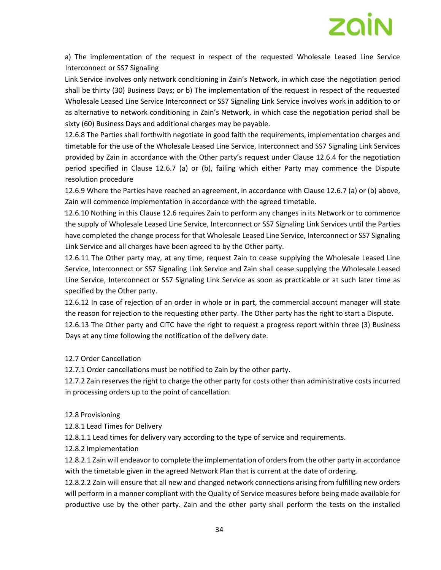

a) The implementation of the request in respect of the requested Wholesale Leased Line Service Interconnect or SS7 Signaling

Link Service involves only network conditioning in Zain's Network, in which case the negotiation period shall be thirty (30) Business Days; or b) The implementation of the request in respect of the requested Wholesale Leased Line Service Interconnect or SS7 Signaling Link Service involves work in addition to or as alternative to network conditioning in Zain's Network, in which case the negotiation period shall be sixty (60) Business Days and additional charges may be payable.

12.6.8 The Parties shall forthwith negotiate in good faith the requirements, implementation charges and timetable for the use of the Wholesale Leased Line Service, Interconnect and SS7 Signaling Link Services provided by Zain in accordance with the Other party's request under Clause 12.6.4 for the negotiation period specified in Clause 12.6.7 (a) or (b), failing which either Party may commence the Dispute resolution procedure

12.6.9 Where the Parties have reached an agreement, in accordance with Clause 12.6.7 (a) or (b) above, Zain will commence implementation in accordance with the agreed timetable.

12.6.10 Nothing in this Clause 12.6 requires Zain to perform any changes in its Network or to commence the supply of Wholesale Leased Line Service, Interconnect or SS7 Signaling Link Services until the Parties have completed the change process for that Wholesale Leased Line Service, Interconnect or SS7 Signaling Link Service and all charges have been agreed to by the Other party.

12.6.11 The Other party may, at any time, request Zain to cease supplying the Wholesale Leased Line Service, Interconnect or SS7 Signaling Link Service and Zain shall cease supplying the Wholesale Leased Line Service, Interconnect or SS7 Signaling Link Service as soon as practicable or at such later time as specified by the Other party.

12.6.12 In case of rejection of an order in whole or in part, the commercial account manager will state the reason for rejection to the requesting other party. The Other party has the right to start a Dispute.

12.6.13 The Other party and CITC have the right to request a progress report within three (3) Business Days at any time following the notification of the delivery date.

12.7 Order Cancellation

12.7.1 Order cancellations must be notified to Zain by the other party.

12.7.2 Zain reserves the right to charge the other party for costs other than administrative costs incurred in processing orders up to the point of cancellation.

12.8 Provisioning

12.8.1 Lead Times for Delivery

12.8.1.1 Lead times for delivery vary according to the type of service and requirements.

12.8.2 Implementation

12.8.2.1 Zain will endeavor to complete the implementation of orders from the other party in accordance with the timetable given in the agreed Network Plan that is current at the date of ordering.

12.8.2.2 Zain will ensure that all new and changed network connections arising from fulfilling new orders will perform in a manner compliant with the Quality of Service measures before being made available for productive use by the other party. Zain and the other party shall perform the tests on the installed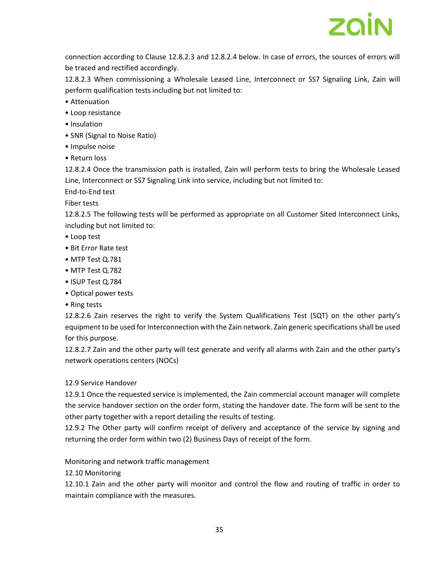

connection according to Clause 12.8.2.3 and 12.8.2.4 below. In case of errors, the sources of errors will be traced and rectified accordingly.

12.8.2.3 When commissioning a Wholesale Leased Line, Interconnect or SS7 Signaling Link, Zain will perform qualification tests including but not limited to:

- Attenuation
- Loop resistance
- Insulation
- SNR (Signal to Noise Ratio)
- Impulse noise
- Return loss

12.8.2.4 Once the transmission path is installed, Zain will perform tests to bring the Wholesale Leased Line, Interconnect or SS7 Signaling Link into service, including but not limited to:

End-to-End test

Fiber tests

12.8.2.5 The following tests will be performed as appropriate on all Customer Sited Interconnect Links, including but not limited to:

- Loop test
- Bit Error Rate test
- MTP Test Q.781
- MTP Test Q.782
- ISUP Test Q.784
- Optical power tests
- Ring tests

12.8.2.6 Zain reserves the right to verify the System Qualifications Test (SQT) on the other party's equipment to be used for Interconnection with the Zain network. Zain generic specifications shall be used for this purpose.

12.8.2.7 Zain and the other party will test generate and verify all alarms with Zain and the other party's network operations centers (NOCs)

#### 12.9 Service Handover

12.9.1 Once the requested service is implemented, the Zain commercial account manager will complete the service handover section on the order form, stating the handover date. The form will be sent to the other party together with a report detailing the results of testing.

12.9.2 The Other party will confirm receipt of delivery and acceptance of the service by signing and returning the order form within two (2) Business Days of receipt of the form.

Monitoring and network traffic management

12.10 Monitoring

12.10.1 Zain and the other party will monitor and control the flow and routing of traffic in order to maintain compliance with the measures.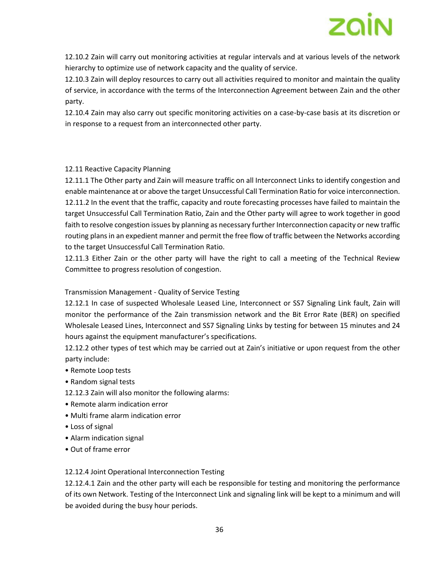

12.10.2 Zain will carry out monitoring activities at regular intervals and at various levels of the network hierarchy to optimize use of network capacity and the quality of service.

12.10.3 Zain will deploy resources to carry out all activities required to monitor and maintain the quality of service, in accordance with the terms of the Interconnection Agreement between Zain and the other party.

12.10.4 Zain may also carry out specific monitoring activities on a case-by-case basis at its discretion or in response to a request from an interconnected other party.

#### 12.11 Reactive Capacity Planning

12.11.1 The Other party and Zain will measure traffic on all Interconnect Links to identify congestion and enable maintenance at or above the target Unsuccessful Call Termination Ratio for voice interconnection. 12.11.2 In the event that the traffic, capacity and route forecasting processes have failed to maintain the target Unsuccessful Call Termination Ratio, Zain and the Other party will agree to work together in good faith to resolve congestion issues by planning as necessary further Interconnection capacity or new traffic routing plans in an expedient manner and permit the free flow of traffic between the Networks according to the target Unsuccessful Call Termination Ratio.

12.11.3 Either Zain or the other party will have the right to call a meeting of the Technical Review Committee to progress resolution of congestion.

#### Transmission Management - Quality of Service Testing

12.12.1 In case of suspected Wholesale Leased Line, Interconnect or SS7 Signaling Link fault, Zain will monitor the performance of the Zain transmission network and the Bit Error Rate (BER) on specified Wholesale Leased Lines, Interconnect and SS7 Signaling Links by testing for between 15 minutes and 24 hours against the equipment manufacturer's specifications.

12.12.2 other types of test which may be carried out at Zain's initiative or upon request from the other party include:

- Remote Loop tests
- Random signal tests
- 12.12.3 Zain will also monitor the following alarms:
- Remote alarm indication error
- Multi frame alarm indication error
- Loss of signal
- Alarm indication signal
- Out of frame error

#### 12.12.4 Joint Operational Interconnection Testing

12.12.4.1 Zain and the other party will each be responsible for testing and monitoring the performance of its own Network. Testing of the Interconnect Link and signaling link will be kept to a minimum and will be avoided during the busy hour periods.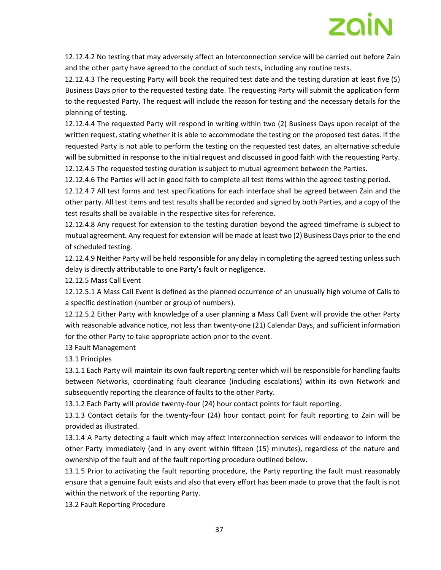

12.12.4.2 No testing that may adversely affect an Interconnection service will be carried out before Zain and the other party have agreed to the conduct of such tests, including any routine tests.

12.12.4.3 The requesting Party will book the required test date and the testing duration at least five (5) Business Days prior to the requested testing date. The requesting Party will submit the application form to the requested Party. The request will include the reason for testing and the necessary details for the planning of testing.

12.12.4.4 The requested Party will respond in writing within two (2) Business Days upon receipt of the written request, stating whether it is able to accommodate the testing on the proposed test dates. If the requested Party is not able to perform the testing on the requested test dates, an alternative schedule will be submitted in response to the initial request and discussed in good faith with the requesting Party. 12.12.4.5 The requested testing duration is subject to mutual agreement between the Parties.

12.12.4.6 The Parties will act in good faith to complete all test items within the agreed testing period.

12.12.4.7 All test forms and test specifications for each interface shall be agreed between Zain and the other party. All test items and test results shall be recorded and signed by both Parties, and a copy of the test results shall be available in the respective sites for reference.

12.12.4.8 Any request for extension to the testing duration beyond the agreed timeframe is subject to mutual agreement. Any request for extension will be made at least two (2) Business Days prior to the end of scheduled testing.

12.12.4.9 Neither Party will be held responsible for any delay in completing the agreed testing unless such delay is directly attributable to one Party's fault or negligence.

12.12.5 Mass Call Event

12.12.5.1 A Mass Call Event is defined as the planned occurrence of an unusually high volume of Calls to a specific destination (number or group of numbers).

12.12.5.2 Either Party with knowledge of a user planning a Mass Call Event will provide the other Party with reasonable advance notice, not less than twenty-one (21) Calendar Days, and sufficient information for the other Party to take appropriate action prior to the event.

13 Fault Management

13.1 Principles

13.1.1 Each Party will maintain its own fault reporting center which will be responsible for handling faults between Networks, coordinating fault clearance (including escalations) within its own Network and subsequently reporting the clearance of faults to the other Party.

13.1.2 Each Party will provide twenty-four (24) hour contact points for fault reporting.

13.1.3 Contact details for the twenty-four (24) hour contact point for fault reporting to Zain will be provided as illustrated.

13.1.4 A Party detecting a fault which may affect Interconnection services will endeavor to inform the other Party immediately (and in any event within fifteen (15) minutes), regardless of the nature and ownership of the fault and of the fault reporting procedure outlined below.

13.1.5 Prior to activating the fault reporting procedure, the Party reporting the fault must reasonably ensure that a genuine fault exists and also that every effort has been made to prove that the fault is not within the network of the reporting Party.

13.2 Fault Reporting Procedure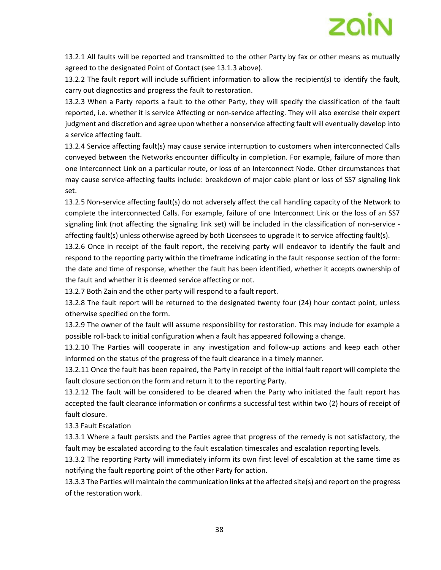

13.2.1 All faults will be reported and transmitted to the other Party by fax or other means as mutually agreed to the designated Point of Contact (see 13.1.3 above).

13.2.2 The fault report will include sufficient information to allow the recipient(s) to identify the fault, carry out diagnostics and progress the fault to restoration.

13.2.3 When a Party reports a fault to the other Party, they will specify the classification of the fault reported, i.e. whether it is service Affecting or non-service affecting. They will also exercise their expert judgment and discretion and agree upon whether a nonservice affecting fault will eventually develop into a service affecting fault.

13.2.4 Service affecting fault(s) may cause service interruption to customers when interconnected Calls conveyed between the Networks encounter difficulty in completion. For example, failure of more than one Interconnect Link on a particular route, or loss of an Interconnect Node. Other circumstances that may cause service-affecting faults include: breakdown of major cable plant or loss of SS7 signaling link set.

13.2.5 Non-service affecting fault(s) do not adversely affect the call handling capacity of the Network to complete the interconnected Calls. For example, failure of one Interconnect Link or the loss of an SS7 signaling link (not affecting the signaling link set) will be included in the classification of non-service affecting fault(s) unless otherwise agreed by both Licensees to upgrade it to service affecting fault(s).

13.2.6 Once in receipt of the fault report, the receiving party will endeavor to identify the fault and respond to the reporting party within the timeframe indicating in the fault response section of the form: the date and time of response, whether the fault has been identified, whether it accepts ownership of the fault and whether it is deemed service affecting or not.

13.2.7 Both Zain and the other party will respond to a fault report.

13.2.8 The fault report will be returned to the designated twenty four (24) hour contact point, unless otherwise specified on the form.

13.2.9 The owner of the fault will assume responsibility for restoration. This may include for example a possible roll-back to initial configuration when a fault has appeared following a change.

13.2.10 The Parties will cooperate in any investigation and follow-up actions and keep each other informed on the status of the progress of the fault clearance in a timely manner.

13.2.11 Once the fault has been repaired, the Party in receipt of the initial fault report will complete the fault closure section on the form and return it to the reporting Party.

13.2.12 The fault will be considered to be cleared when the Party who initiated the fault report has accepted the fault clearance information or confirms a successful test within two (2) hours of receipt of fault closure.

13.3 Fault Escalation

13.3.1 Where a fault persists and the Parties agree that progress of the remedy is not satisfactory, the fault may be escalated according to the fault escalation timescales and escalation reporting levels.

13.3.2 The reporting Party will immediately inform its own first level of escalation at the same time as notifying the fault reporting point of the other Party for action.

13.3.3 The Parties will maintain the communication links at the affected site(s) and report on the progress of the restoration work.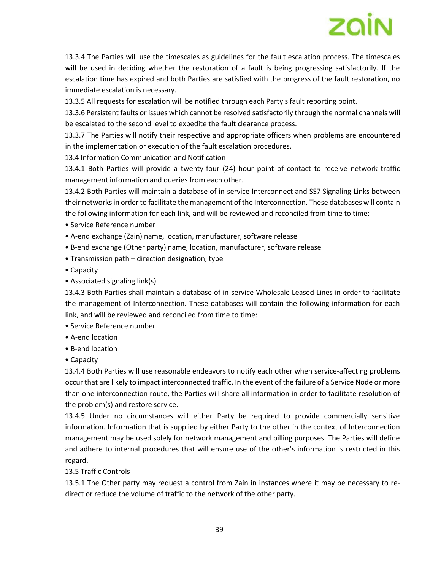13.3.4 The Parties will use the timescales as guidelines for the fault escalation process. The timescales will be used in deciding whether the restoration of a fault is being progressing satisfactorily. If the escalation time has expired and both Parties are satisfied with the progress of the fault restoration, no immediate escalation is necessary.

13.3.5 All requests for escalation will be notified through each Party's fault reporting point.

13.3.6 Persistent faults or issues which cannot be resolved satisfactorily through the normal channels will be escalated to the second level to expedite the fault clearance process.

13.3.7 The Parties will notify their respective and appropriate officers when problems are encountered in the implementation or execution of the fault escalation procedures.

13.4 Information Communication and Notification

13.4.1 Both Parties will provide a twenty-four (24) hour point of contact to receive network traffic management information and queries from each other.

13.4.2 Both Parties will maintain a database of in-service Interconnect and SS7 Signaling Links between their networks in order to facilitate the management of the Interconnection. These databases will contain the following information for each link, and will be reviewed and reconciled from time to time:

- Service Reference number
- A-end exchange (Zain) name, location, manufacturer, software release
- B-end exchange (Other party) name, location, manufacturer, software release
- Transmission path direction designation, type
- Capacity
- Associated signaling link(s)

13.4.3 Both Parties shall maintain a database of in-service Wholesale Leased Lines in order to facilitate the management of Interconnection. These databases will contain the following information for each link, and will be reviewed and reconciled from time to time:

- Service Reference number
- A-end location
- B-end location
- Capacity

13.4.4 Both Parties will use reasonable endeavors to notify each other when service-affecting problems occur that are likely to impact interconnected traffic. In the event of the failure of a Service Node or more than one interconnection route, the Parties will share all information in order to facilitate resolution of the problem(s) and restore service.

13.4.5 Under no circumstances will either Party be required to provide commercially sensitive information. Information that is supplied by either Party to the other in the context of Interconnection management may be used solely for network management and billing purposes. The Parties will define and adhere to internal procedures that will ensure use of the other's information is restricted in this regard.

#### 13.5 Traffic Controls

13.5.1 The Other party may request a control from Zain in instances where it may be necessary to redirect or reduce the volume of traffic to the network of the other party.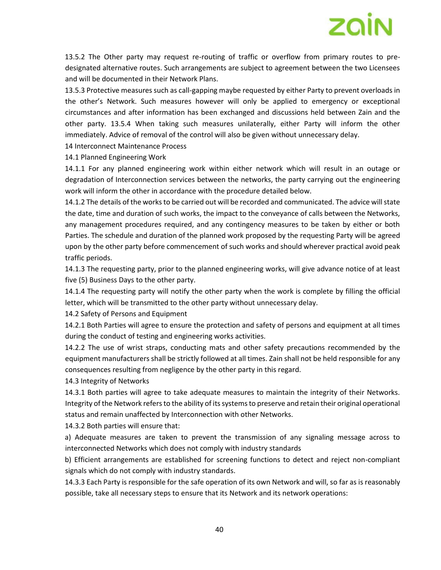

13.5.2 The Other party may request re-routing of traffic or overflow from primary routes to predesignated alternative routes. Such arrangements are subject to agreement between the two Licensees and will be documented in their Network Plans.

13.5.3 Protective measures such as call-gapping maybe requested by either Party to prevent overloads in the other's Network. Such measures however will only be applied to emergency or exceptional circumstances and after information has been exchanged and discussions held between Zain and the other party. 13.5.4 When taking such measures unilaterally, either Party will inform the other immediately. Advice of removal of the control will also be given without unnecessary delay.

14 Interconnect Maintenance Process

14.1 Planned Engineering Work

14.1.1 For any planned engineering work within either network which will result in an outage or degradation of Interconnection services between the networks, the party carrying out the engineering work will inform the other in accordance with the procedure detailed below.

14.1.2 The details of the works to be carried out will be recorded and communicated. The advice will state the date, time and duration of such works, the impact to the conveyance of calls between the Networks, any management procedures required, and any contingency measures to be taken by either or both Parties. The schedule and duration of the planned work proposed by the requesting Party will be agreed upon by the other party before commencement of such works and should wherever practical avoid peak traffic periods.

14.1.3 The requesting party, prior to the planned engineering works, will give advance notice of at least five (5) Business Days to the other party.

14.1.4 The requesting party will notify the other party when the work is complete by filling the official letter, which will be transmitted to the other party without unnecessary delay.

14.2 Safety of Persons and Equipment

14.2.1 Both Parties will agree to ensure the protection and safety of persons and equipment at all times during the conduct of testing and engineering works activities.

14.2.2 The use of wrist straps, conducting mats and other safety precautions recommended by the equipment manufacturers shall be strictly followed at all times. Zain shall not be held responsible for any consequences resulting from negligence by the other party in this regard.

14.3 Integrity of Networks

14.3.1 Both parties will agree to take adequate measures to maintain the integrity of their Networks. Integrity of the Network refers to the ability of its systems to preserve and retain their original operational status and remain unaffected by Interconnection with other Networks.

14.3.2 Both parties will ensure that:

a) Adequate measures are taken to prevent the transmission of any signaling message across to interconnected Networks which does not comply with industry standards

b) Efficient arrangements are established for screening functions to detect and reject non-compliant signals which do not comply with industry standards.

14.3.3 Each Party is responsible for the safe operation of its own Network and will, so far as is reasonably possible, take all necessary steps to ensure that its Network and its network operations: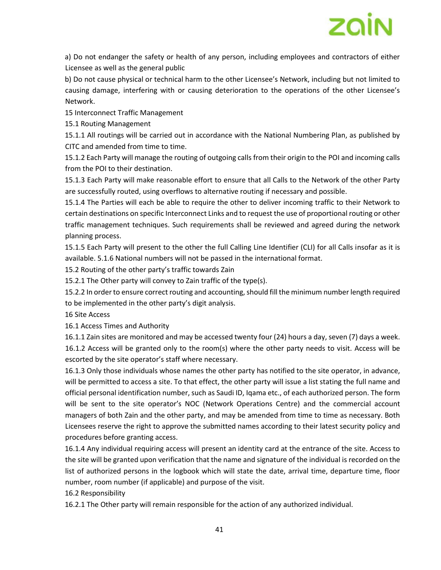

a) Do not endanger the safety or health of any person, including employees and contractors of either Licensee as well as the general public

b) Do not cause physical or technical harm to the other Licensee's Network, including but not limited to causing damage, interfering with or causing deterioration to the operations of the other Licensee's Network.

15 Interconnect Traffic Management

15.1 Routing Management

15.1.1 All routings will be carried out in accordance with the National Numbering Plan, as published by CITC and amended from time to time.

15.1.2 Each Party will manage the routing of outgoing calls from their origin to the POI and incoming calls from the POI to their destination.

15.1.3 Each Party will make reasonable effort to ensure that all Calls to the Network of the other Party are successfully routed, using overflows to alternative routing if necessary and possible.

15.1.4 The Parties will each be able to require the other to deliver incoming traffic to their Network to certain destinations on specific Interconnect Links and to request the use of proportional routing or other traffic management techniques. Such requirements shall be reviewed and agreed during the network planning process.

15.1.5 Each Party will present to the other the full Calling Line Identifier (CLI) for all Calls insofar as it is available. 5.1.6 National numbers will not be passed in the international format.

15.2 Routing of the other party's traffic towards Zain

15.2.1 The Other party will convey to Zain traffic of the type(s).

15.2.2 In order to ensure correct routing and accounting, should fill the minimum number length required to be implemented in the other party's digit analysis.

16 Site Access

16.1 Access Times and Authority

16.1.1 Zain sites are monitored and may be accessed twenty four (24) hours a day, seven (7) days a week. 16.1.2 Access will be granted only to the room(s) where the other party needs to visit. Access will be escorted by the site operator's staff where necessary.

16.1.3 Only those individuals whose names the other party has notified to the site operator, in advance, will be permitted to access a site. To that effect, the other party will issue a list stating the full name and official personal identification number, such as Saudi ID, Iqama etc., of each authorized person. The form will be sent to the site operator's NOC (Network Operations Centre) and the commercial account managers of both Zain and the other party, and may be amended from time to time as necessary. Both Licensees reserve the right to approve the submitted names according to their latest security policy and procedures before granting access.

16.1.4 Any individual requiring access will present an identity card at the entrance of the site. Access to the site will be granted upon verification that the name and signature of the individual is recorded on the list of authorized persons in the logbook which will state the date, arrival time, departure time, floor number, room number (if applicable) and purpose of the visit.

16.2 Responsibility

16.2.1 The Other party will remain responsible for the action of any authorized individual.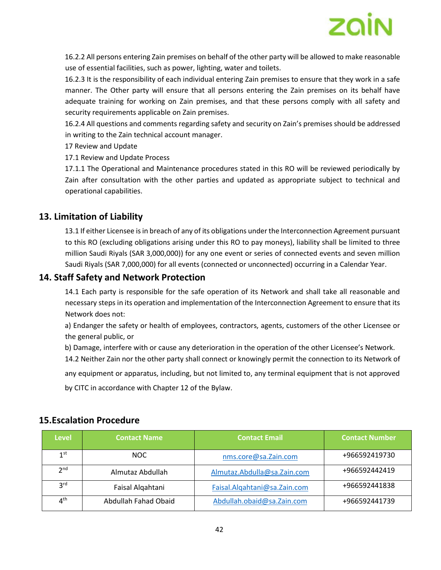

16.2.2 All persons entering Zain premises on behalf of the other party will be allowed to make reasonable use of essential facilities, such as power, lighting, water and toilets.

16.2.3 It is the responsibility of each individual entering Zain premises to ensure that they work in a safe manner. The Other party will ensure that all persons entering the Zain premises on its behalf have adequate training for working on Zain premises, and that these persons comply with all safety and security requirements applicable on Zain premises.

16.2.4 All questions and comments regarding safety and security on Zain's premises should be addressed in writing to the Zain technical account manager.

17 Review and Update

17.1 Review and Update Process

17.1.1 The Operational and Maintenance procedures stated in this RO will be reviewed periodically by Zain after consultation with the other parties and updated as appropriate subject to technical and operational capabilities.

#### **13. Limitation of Liability**

13.1 If either Licensee is in breach of any of its obligations under the Interconnection Agreement pursuant to this RO (excluding obligations arising under this RO to pay moneys), liability shall be limited to three million Saudi Riyals (SAR 3,000,000)) for any one event or series of connected events and seven million Saudi Riyals (SAR 7,000,000) for all events (connected or unconnected) occurring in a Calendar Year.

#### **14. Staff Safety and Network Protection**

14.1 Each party is responsible for the safe operation of its Network and shall take all reasonable and necessary steps in its operation and implementation of the Interconnection Agreement to ensure that its Network does not:

a) Endanger the safety or health of employees, contractors, agents, customers of the other Licensee or the general public, or

b) Damage, interfere with or cause any deterioration in the operation of the other Licensee's Network.

14.2 Neither Zain nor the other party shall connect or knowingly permit the connection to its Network of

any equipment or apparatus, including, but not limited to, any terminal equipment that is not approved

by CITC in accordance with Chapter 12 of the Bylaw.

#### **15.Escalation Procedure**

| <b>Level</b>    | <b>Contact Name</b>  | <b>Contact Email</b>         | <b>Contact Number</b> |
|-----------------|----------------------|------------------------------|-----------------------|
| 1 <sup>st</sup> | NOC.                 | nms.core@sa.Zain.com         | +966592419730         |
| 2 <sub>nd</sub> | Almutaz Abdullah     | Almutaz.Abdulla@sa.Zain.com  | +966592442419         |
| 3 <sup>rd</sup> | Faisal Algahtani     | Faisal.Algahtani@sa.Zain.com | +966592441838         |
| $4^{\text{th}}$ | Abdullah Fahad Obaid | Abdullah.obaid@sa.Zain.com   | +966592441739         |